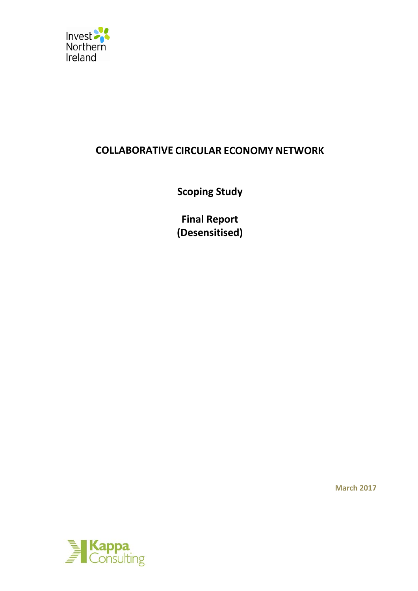

# **COLLABORATIVE CIRCULAR ECONOMY NETWORK**

**Scoping Study** 

**Final Report (Desensitised)**

**March 2017**

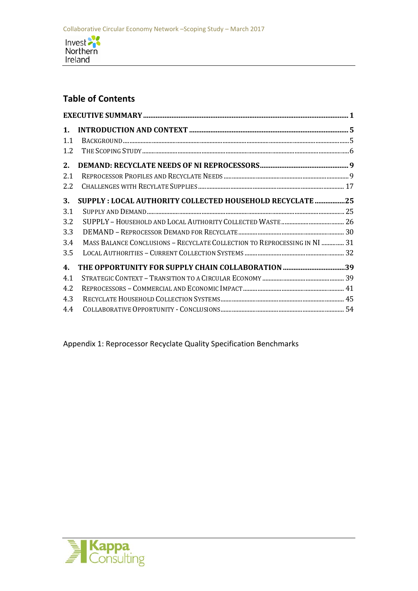

# **Table of Contents**

| 1.<br>1.1<br>1.2 |                                                                           |  |
|------------------|---------------------------------------------------------------------------|--|
| 2.               |                                                                           |  |
| 2.1              |                                                                           |  |
| 2.2              |                                                                           |  |
| 3.               | SUPPLY : LOCAL AUTHORITY COLLECTED HOUSEHOLD RECYCLATE 25                 |  |
| 3.1              |                                                                           |  |
| 3.2              |                                                                           |  |
| 3.3              |                                                                           |  |
| 3.4              | MASS BALANCE CONCLUSIONS - RECYCLATE COLLECTION TO REPROCESSING IN NI  31 |  |
| 3.5              |                                                                           |  |
| 4.               |                                                                           |  |
| 4.1              |                                                                           |  |
| 4.2              |                                                                           |  |
| 4.3              |                                                                           |  |
| 4.4              |                                                                           |  |

Appendix 1: Reprocessor Recyclate Quality Specification Benchmarks

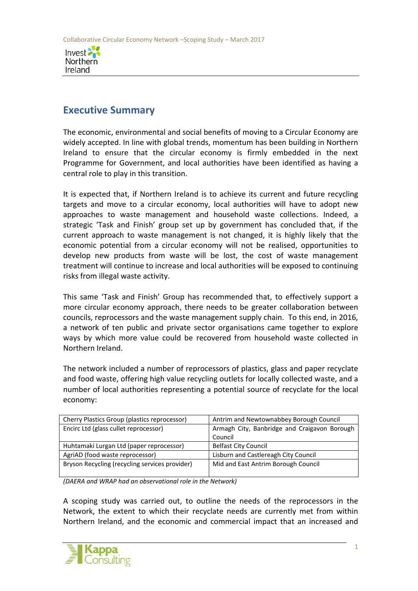

# **Executive Summary**

The economic, environmental and social benefits of moving to a Circular Economy are widely accepted. In line with global trends, momentum has been building in Northern Ireland to ensure that the circular economy is firmly embedded in the next Programme for Government, and local authorities have been identified as having a central role to play in this transition.

It is expected that, if Northern Ireland is to achieve its current and future recycling targets and move to a circular economy, local authorities will have to adopt new approaches to waste management and household waste collections. Indeed, a strategic 'Task and Finish' group set up by government has concluded that, if the current approach to waste management is not changed, it is highly likely that the economic potential from a circular economy will not be realised, opportunities to develop new products from waste will be lost, the cost of waste management treatment will continue to increase and local authorities will be exposed to continuing risks from illegal waste activity.

This same 'Task and Finish' Group has recommended that, to effectively support a more circular economy approach, there needs to be greater collaboration between councils, reprocessors and the waste management supply chain. To this end, in 2016, a network of ten public and private sector organisations came together to explore ways by which more value could be recovered from household waste collected in Northern Ireland.

The network included a number of reprocessors of plastics, glass and paper recyclate and food waste, offering high value recycling outlets for locally collected waste, and a number of local authorities representing a potential source of recyclate for the local economy:

| Cherry Plastics Group (plastics reprocessor)   | Antrim and Newtownabbey Borough Council      |  |  |
|------------------------------------------------|----------------------------------------------|--|--|
| Encirc Ltd (glass cullet reprocessor)          | Armagh City, Banbridge and Craigavon Borough |  |  |
|                                                | Council                                      |  |  |
| Huhtamaki Lurgan Ltd (paper reprocessor)       | <b>Belfast City Council</b>                  |  |  |
| AgriAD (food waste reprocessor)                | Lisburn and Castlereagh City Council         |  |  |
| Bryson Recycling (recycling services provider) | Mid and East Antrim Borough Council          |  |  |
|                                                |                                              |  |  |

*(DAERA and WRAP had an observational role in the Network)*

A scoping study was carried out, to outline the needs of the reprocessors in the Network, the extent to which their recyclate needs are currently met from within Northern Ireland, and the economic and commercial impact that an increased and

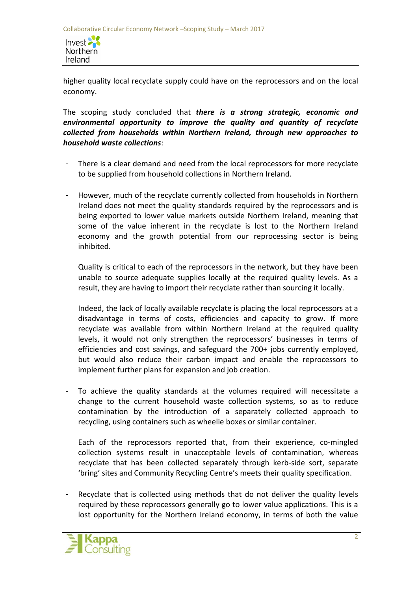Invest 2 Northern Ireland

higher quality local recyclate supply could have on the reprocessors and on the local economy.

The scoping study concluded that *there is a strong strategic, economic and environmental opportunity to improve the quality and quantity of recyclate collected from households within Northern Ireland, through new approaches to household waste collections*:

- There is a clear demand and need from the local reprocessors for more recyclate to be supplied from household collections in Northern Ireland.
- However, much of the recyclate currently collected from households in Northern Ireland does not meet the quality standards required by the reprocessors and is being exported to lower value markets outside Northern Ireland, meaning that some of the value inherent in the recyclate is lost to the Northern Ireland economy and the growth potential from our reprocessing sector is being inhibited.

Quality is critical to each of the reprocessors in the network, but they have been unable to source adequate supplies locally at the required quality levels. As a result, they are having to import their recyclate rather than sourcing it locally.

Indeed, the lack of locally available recyclate is placing the local reprocessors at a disadvantage in terms of costs, efficiencies and capacity to grow. If more recyclate was available from within Northern Ireland at the required quality levels, it would not only strengthen the reprocessors' businesses in terms of efficiencies and cost savings, and safeguard the 700+ jobs currently employed, but would also reduce their carbon impact and enable the reprocessors to implement further plans for expansion and job creation.

To achieve the quality standards at the volumes required will necessitate a change to the current household waste collection systems, so as to reduce contamination by the introduction of a separately collected approach to recycling, using containers such as wheelie boxes or similar container.

Each of the reprocessors reported that, from their experience, co-mingled collection systems result in unacceptable levels of contamination, whereas recyclate that has been collected separately through kerb-side sort, separate 'bring' sites and Community Recycling Centre's meets their quality specification.

Recyclate that is collected using methods that do not deliver the quality levels required by these reprocessors generally go to lower value applications. This is a lost opportunity for the Northern Ireland economy, in terms of both the value

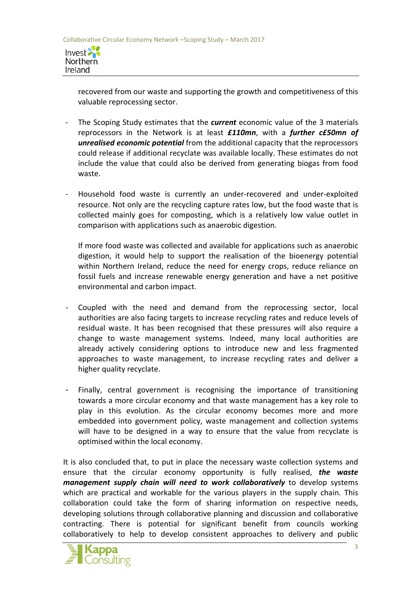

recovered from our waste and supporting the growth and competitiveness of this valuable reprocessing sector.

- The Scoping Study estimates that the *current* economic value of the 3 materials reprocessors in the Network is at least *£110mn*, with a *further c£50mn of unrealised economic potential* from the additional capacity that the reprocessors could release if additional recyclate was available locally. These estimates do not include the value that could also be derived from generating biogas from food waste.
- Household food waste is currently an under-recovered and under-exploited resource. Not only are the recycling capture rates low, but the food waste that is collected mainly goes for composting, which is a relatively low value outlet in comparison with applications such as anaerobic digestion.

If more food waste was collected and available for applications such as anaerobic digestion, it would help to support the realisation of the bioenergy potential within Northern Ireland, reduce the need for energy crops, reduce reliance on fossil fuels and increase renewable energy generation and have a net positive environmental and carbon impact.

- Coupled with the need and demand from the reprocessing sector, local authorities are also facing targets to increase recycling rates and reduce levels of residual waste. It has been recognised that these pressures will also require a change to waste management systems. Indeed, many local authorities are already actively considering options to introduce new and less fragmented approaches to waste management, to increase recycling rates and deliver a higher quality recyclate.
- Finally, central government is recognising the importance of transitioning towards a more circular economy and that waste management has a key role to play in this evolution. As the circular economy becomes more and more embedded into government policy, waste management and collection systems will have to be designed in a way to ensure that the value from recyclate is optimised within the local economy.

It is also concluded that, to put in place the necessary waste collection systems and ensure that the circular economy opportunity is fully realised, *the waste management supply chain will need to work collaboratively* to develop systems which are practical and workable for the various players in the supply chain. This collaboration could take the form of sharing information on respective needs, developing solutions through collaborative planning and discussion and collaborative contracting. There is potential for significant benefit from councils working collaboratively to help to develop consistent approaches to delivery and public

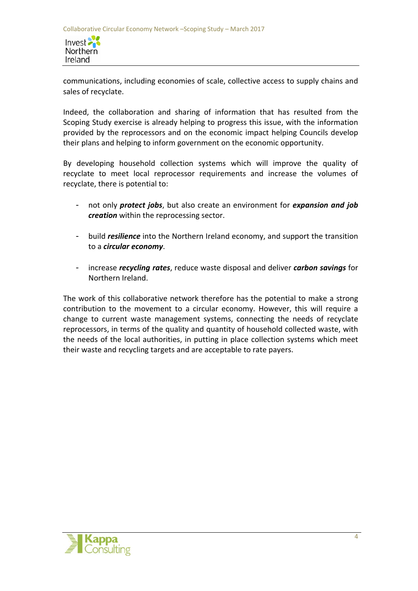Invest 2 Northern Ireland

communications, including economies of scale, collective access to supply chains and sales of recyclate.

Indeed, the collaboration and sharing of information that has resulted from the Scoping Study exercise is already helping to progress this issue, with the information provided by the reprocessors and on the economic impact helping Councils develop their plans and helping to inform government on the economic opportunity.

By developing household collection systems which will improve the quality of recyclate to meet local reprocessor requirements and increase the volumes of recyclate, there is potential to:

- not only *protect jobs*, but also create an environment for *expansion and job creation* within the reprocessing sector.
- build *resilience* into the Northern Ireland economy, and support the transition to a *circular economy*.
- increase *recycling rates*, reduce waste disposal and deliver *carbon savings* for Northern Ireland.

The work of this collaborative network therefore has the potential to make a strong contribution to the movement to a circular economy. However, this will require a change to current waste management systems, connecting the needs of recyclate reprocessors, in terms of the quality and quantity of household collected waste, with the needs of the local authorities, in putting in place collection systems which meet their waste and recycling targets and are acceptable to rate payers.

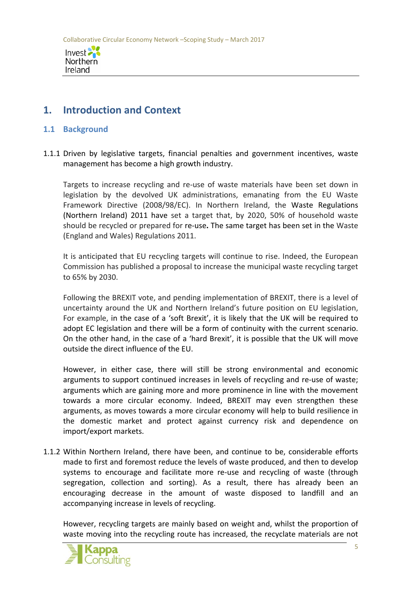

# **1. Introduction and Context**

## **1.1 Background**

1.1.1 Driven by legislative targets, financial penalties and government incentives, waste management has become a high growth industry.

Targets to increase recycling and re-use of waste materials have been set down in legislation by the devolved UK administrations, emanating from the EU Waste Framework Directive (2008/98/EC). In Northern Ireland, the Waste Regulations (Northern Ireland) 2011 have set a target that, by 2020, 50% of household waste should be recycled or prepared for re-use**.** The same target has been set in the Waste (England and Wales) Regulations 2011.

It is anticipated that EU recycling targets will continue to rise. Indeed, the European Commission has published a proposal to increase the municipal waste recycling target to 65% by 2030.

Following the BREXIT vote, and pending implementation of BREXIT, there is a level of uncertainty around the UK and Northern Ireland's future position on EU legislation, For example, in the case of a 'soft Brexit', it is likely that the UK will be required to adopt EC legislation and there will be a form of continuity with the current scenario. On the other hand, in the case of a 'hard Brexit', it is possible that the UK will move outside the direct influence of the EU.

However, in either case, there will still be strong environmental and economic arguments to support continued increases in levels of recycling and re-use of waste; arguments which are gaining more and more prominence in line with the movement towards a more circular economy. Indeed, BREXIT may even strengthen these arguments, as moves towards a more circular economy will help to build resilience in the domestic market and protect against currency risk and dependence on import/export markets.

1.1.2 Within Northern Ireland, there have been, and continue to be, considerable efforts made to first and foremost reduce the levels of waste produced, and then to develop systems to encourage and facilitate more re-use and recycling of waste (through segregation, collection and sorting). As a result, there has already been an encouraging decrease in the amount of waste disposed to landfill and an accompanying increase in levels of recycling.

However, recycling targets are mainly based on weight and, whilst the proportion of waste moving into the recycling route has increased, the recyclate materials are not

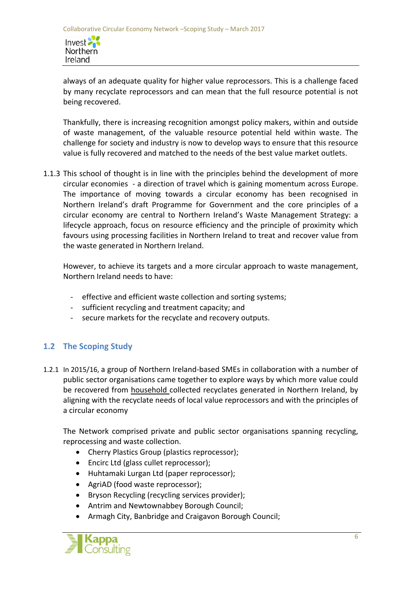Invest 2 Northern Ireland

always of an adequate quality for higher value reprocessors. This is a challenge faced by many recyclate reprocessors and can mean that the full resource potential is not being recovered.

Thankfully, there is increasing recognition amongst policy makers, within and outside of waste management, of the valuable resource potential held within waste. The challenge for society and industry is now to develop ways to ensure that this resource value is fully recovered and matched to the needs of the best value market outlets.

1.1.3 This school of thought is in line with the principles behind the development of more circular economies - a direction of travel which is gaining momentum across Europe. The importance of moving towards a circular economy has been recognised in Northern Ireland's draft Programme for Government and the core principles of a circular economy are central to Northern Ireland's Waste Management Strategy: a lifecycle approach, focus on resource efficiency and the principle of proximity which favours using processing facilities in Northern Ireland to treat and recover value from the waste generated in Northern Ireland.

However, to achieve its targets and a more circular approach to waste management, Northern Ireland needs to have:

- effective and efficient waste collection and sorting systems;
- sufficient recycling and treatment capacity; and
- secure markets for the recyclate and recovery outputs.

# **1.2 The Scoping Study**

1.2.1 In 2015/16, a group of Northern Ireland-based SMEs in collaboration with a number of public sector organisations came together to explore ways by which more value could be recovered from household collected recyclates generated in Northern Ireland, by aligning with the recyclate needs of local value reprocessors and with the principles of a circular economy

The Network comprised private and public sector organisations spanning recycling, reprocessing and waste collection.

- Cherry Plastics Group (plastics reprocessor);
- Encirc Ltd (glass cullet reprocessor);
- Huhtamaki Lurgan Ltd (paper reprocessor);
- AgriAD (food waste reprocessor);
- Bryson Recycling (recycling services provider);
- Antrim and Newtownabbey Borough Council;
- Armagh City, Banbridge and Craigavon Borough Council;

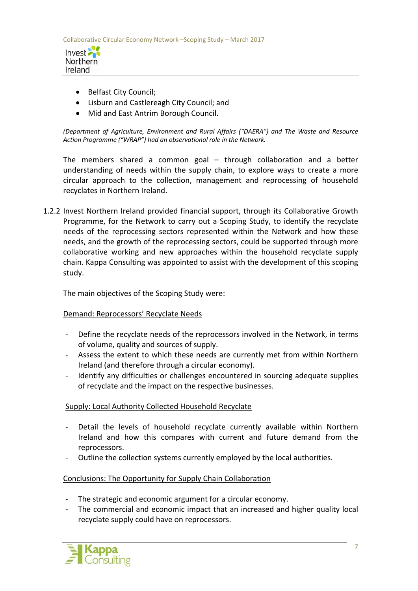

- Belfast City Council;
- Lisburn and Castlereagh City Council; and
- Mid and East Antrim Borough Council.

*(Department of Agriculture, Environment and Rural Affairs ("DAERA") and The Waste and Resource Action Programme ("WRAP") had an observational role in the Network.*

The members shared a common goal – through collaboration and a better understanding of needs within the supply chain, to explore ways to create a more circular approach to the collection, management and reprocessing of household recyclates in Northern Ireland.

1.2.2 Invest Northern Ireland provided financial support, through its Collaborative Growth Programme, for the Network to carry out a Scoping Study, to identify the recyclate needs of the reprocessing sectors represented within the Network and how these needs, and the growth of the reprocessing sectors, could be supported through more collaborative working and new approaches within the household recyclate supply chain. Kappa Consulting was appointed to assist with the development of this scoping study.

The main objectives of the Scoping Study were:

#### Demand: Reprocessors' Recyclate Needs

- Define the recyclate needs of the reprocessors involved in the Network, in terms of volume, quality and sources of supply.
- Assess the extent to which these needs are currently met from within Northern Ireland (and therefore through a circular economy).
- Identify any difficulties or challenges encountered in sourcing adequate supplies of recyclate and the impact on the respective businesses.

# Supply: Local Authority Collected Household Recyclate

- Detail the levels of household recyclate currently available within Northern Ireland and how this compares with current and future demand from the reprocessors.
- Outline the collection systems currently employed by the local authorities.

#### Conclusions: The Opportunity for Supply Chain Collaboration

- The strategic and economic argument for a circular economy.
- The commercial and economic impact that an increased and higher quality local recyclate supply could have on reprocessors.

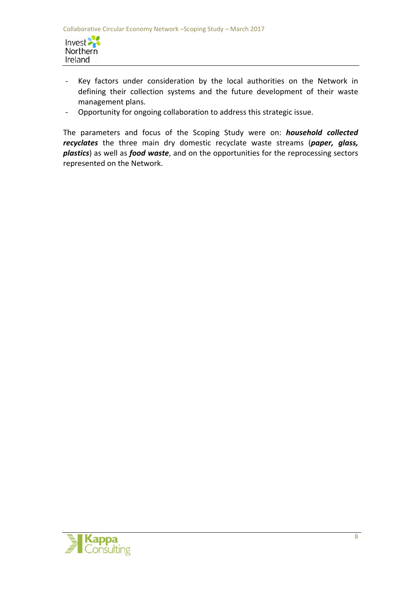

- Key factors under consideration by the local authorities on the Network in defining their collection systems and the future development of their waste management plans.
- Opportunity for ongoing collaboration to address this strategic issue.

The parameters and focus of the Scoping Study were on: *household collected recyclates* the three main dry domestic recyclate waste streams (*paper, glass, plastics*) as well as *food waste*, and on the opportunities for the reprocessing sectors represented on the Network.

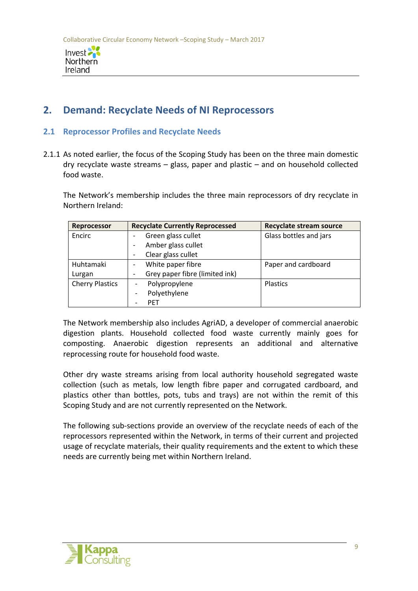

# **2. Demand: Recyclate Needs of NI Reprocessors**

### **2.1 Reprocessor Profiles and Recyclate Needs**

2.1.1 As noted earlier, the focus of the Scoping Study has been on the three main domestic dry recyclate waste streams – glass, paper and plastic – and on household collected food waste.

The Network's membership includes the three main reprocessors of dry recyclate in Northern Ireland:

| <b>Reprocessor</b>     | <b>Recyclate Currently Reprocessed</b>    | <b>Recyclate stream source</b> |  |
|------------------------|-------------------------------------------|--------------------------------|--|
| Encirc                 | Green glass cullet                        | Glass bottles and jars         |  |
|                        | Amber glass cullet                        |                                |  |
|                        | Clear glass cullet                        |                                |  |
| Huhtamaki              | White paper fibre                         | Paper and cardboard            |  |
| Lurgan                 | Grey paper fibre (limited ink)            |                                |  |
| <b>Cherry Plastics</b> | Polypropylene<br>$\overline{\phantom{a}}$ | <b>Plastics</b>                |  |
|                        | Polyethylene<br>$\overline{\phantom{a}}$  |                                |  |
|                        | <b>PET</b>                                |                                |  |

The Network membership also includes AgriAD, a developer of commercial anaerobic digestion plants. Household collected food waste currently mainly goes for composting. Anaerobic digestion represents an additional and alternative reprocessing route for household food waste.

Other dry waste streams arising from local authority household segregated waste collection (such as metals, low length fibre paper and corrugated cardboard, and plastics other than bottles, pots, tubs and trays) are not within the remit of this Scoping Study and are not currently represented on the Network.

The following sub-sections provide an overview of the recyclate needs of each of the reprocessors represented within the Network, in terms of their current and projected usage of recyclate materials, their quality requirements and the extent to which these needs are currently being met within Northern Ireland.

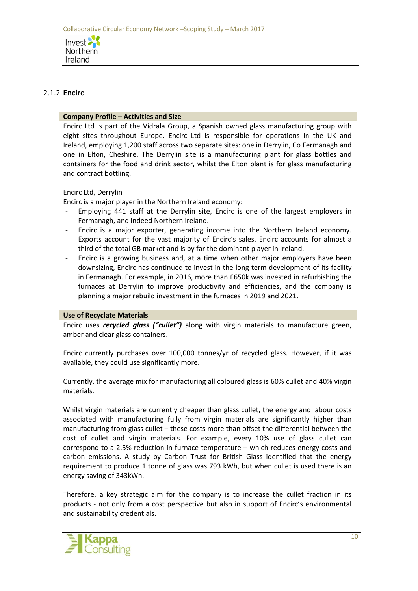

# 2.1.2 **Encirc**

### **Company Profile – Activities and Size**

Encirc Ltd is part of the Vidrala Group, a Spanish owned glass manufacturing group with eight sites throughout Europe. Encirc Ltd is responsible for operations in the UK and Ireland, employing 1,200 staff across two separate sites: one in Derrylin, Co Fermanagh and one in Elton, Cheshire. The Derrylin site is a manufacturing plant for glass bottles and containers for the food and drink sector, whilst the Elton plant is for glass manufacturing and contract bottling.

## Encirc Ltd, Derrylin

Encirc is a major player in the Northern Ireland economy:

- Employing 441 staff at the Derrylin site, Encirc is one of the largest employers in Fermanagh, and indeed Northern Ireland.
- Encirc is a major exporter, generating income into the Northern Ireland economy. Exports account for the vast majority of Encirc's sales. Encirc accounts for almost a third of the total GB market and is by far the dominant player in Ireland.
- Encirc is a growing business and, at a time when other major employers have been downsizing, Encirc has continued to invest in the long-term development of its facility in Fermanagh. For example, in 2016, more than £650k was invested in refurbishing the furnaces at Derrylin to improve productivity and efficiencies, and the company is planning a major rebuild investment in the furnaces in 2019 and 2021.

#### **Use of Recyclate Materials**

Encirc uses *recycled glass ("cullet")* along with virgin materials to manufacture green, amber and clear glass containers.

Encirc currently purchases over 100,000 tonnes/yr of recycled glass*.* However, if it was available, they could use significantly more.

Currently, the average mix for manufacturing all coloured glass is 60% cullet and 40% virgin materials.

Whilst virgin materials are currently cheaper than glass cullet, the energy and labour costs associated with manufacturing fully from virgin materials are significantly higher than manufacturing from glass cullet – these costs more than offset the differential between the cost of cullet and virgin materials. For example, every 10% use of glass cullet can correspond to a 2.5% reduction in furnace temperature – which reduces energy costs and carbon emissions. A study by Carbon Trust for British Glass identified that the energy requirement to produce 1 tonne of glass was 793 kWh, but when cullet is used there is an energy saving of 343kWh.

Therefore, a key strategic aim for the company is to increase the cullet fraction in its products - not only from a cost perspective but also in support of Encirc's environmental and sustainability credentials.

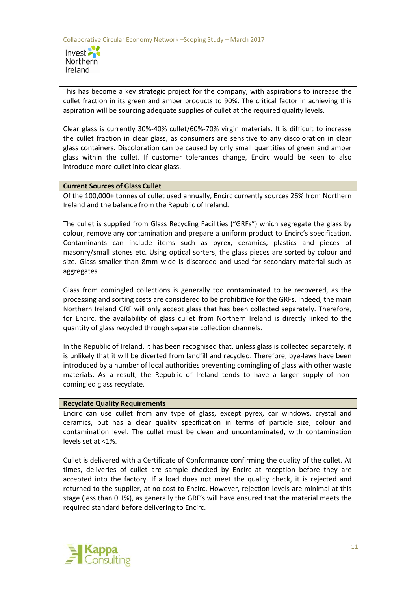

This has become a key strategic project for the company, with aspirations to increase the cullet fraction in its green and amber products to 90%. The critical factor in achieving this aspiration will be sourcing adequate supplies of cullet at the required quality levels.

Clear glass is currently 30%-40% cullet/60%-70% virgin materials. It is difficult to increase the cullet fraction in clear glass, as consumers are sensitive to any discoloration in clear glass containers. Discoloration can be caused by only small quantities of green and amber glass within the cullet. If customer tolerances change, Encirc would be keen to also introduce more cullet into clear glass.

#### **Current Sources of Glass Cullet**

Of the 100,000+ tonnes of cullet used annually, Encirc currently sources 26% from Northern Ireland and the balance from the Republic of Ireland.

The cullet is supplied from Glass Recycling Facilities ("GRFs") which segregate the glass by colour, remove any contamination and prepare a uniform product to Encirc's specification. Contaminants can include items such as pyrex, ceramics, plastics and pieces of masonry/small stones etc. Using optical sorters, the glass pieces are sorted by colour and size. Glass smaller than 8mm wide is discarded and used for secondary material such as aggregates.

Glass from comingled collections is generally too contaminated to be recovered, as the processing and sorting costs are considered to be prohibitive for the GRFs. Indeed, the main Northern Ireland GRF will only accept glass that has been collected separately. Therefore, for Encirc, the availability of glass cullet from Northern Ireland is directly linked to the quantity of glass recycled through separate collection channels.

In the Republic of Ireland, it has been recognised that, unless glass is collected separately, it is unlikely that it will be diverted from landfill and recycled. Therefore, bye-laws have been introduced by a number of local authorities preventing comingling of glass with other waste materials. As a result, the Republic of Ireland tends to have a larger supply of noncomingled glass recyclate.

#### **Recyclate Quality Requirements**

Encirc can use cullet from any type of glass, except pyrex, car windows, crystal and ceramics, but has a clear quality specification in terms of particle size, colour and contamination level. The cullet must be clean and uncontaminated, with contamination levels set at <1%.

Cullet is delivered with a Certificate of Conformance confirming the quality of the cullet. At times, deliveries of cullet are sample checked by Encirc at reception before they are accepted into the factory. If a load does not meet the quality check, it is rejected and returned to the supplier, at no cost to Encirc. However, rejection levels are minimal at this stage (less than 0.1%), as generally the GRF's will have ensured that the material meets the required standard before delivering to Encirc.

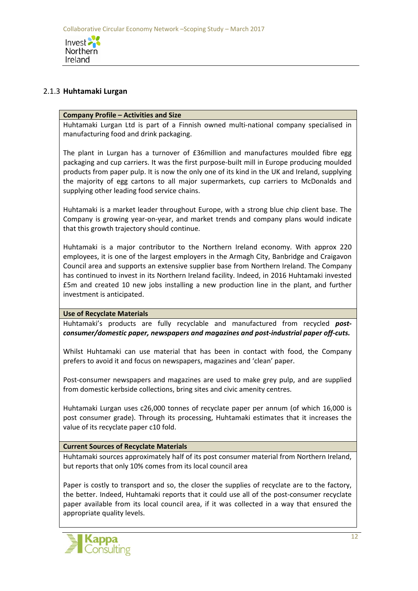

#### 2.1.3 **Huhtamaki Lurgan**

#### **Company Profile – Activities and Size**

Huhtamaki Lurgan Ltd is part of a Finnish owned multi-national company specialised in manufacturing food and drink packaging.

The plant in Lurgan has a turnover of £36million and manufactures moulded fibre egg packaging and cup carriers. It was the first purpose-built mill in Europe producing moulded products from paper pulp. It is now the only one of its kind in the UK and Ireland, supplying the majority of egg cartons to all major supermarkets, cup carriers to McDonalds and supplying other leading food service chains.

Huhtamaki is a market leader throughout Europe, with a strong blue chip client base. The Company is growing year-on-year, and market trends and company plans would indicate that this growth trajectory should continue.

Huhtamaki is a major contributor to the Northern Ireland economy. With approx 220 employees, it is one of the largest employers in the Armagh City, Banbridge and Craigavon Council area and supports an extensive supplier base from Northern Ireland. The Company has continued to invest in its Northern Ireland facility. Indeed, in 2016 Huhtamaki invested £5m and created 10 new jobs installing a new production line in the plant, and further investment is anticipated.

#### **Use of Recyclate Materials**

Huhtamaki's products are fully recyclable and manufactured from recycled *postconsumer/domestic paper, newspapers and magazines and post-industrial paper off-cuts.*

Whilst Huhtamaki can use material that has been in contact with food, the Company prefers to avoid it and focus on newspapers, magazines and 'clean' paper.

Post-consumer newspapers and magazines are used to make grey pulp, and are supplied from domestic kerbside collections, bring sites and civic amenity centres.

Huhtamaki Lurgan uses c26,000 tonnes of recyclate paper per annum (of which 16,000 is post consumer grade). Through its processing, Huhtamaki estimates that it increases the value of its recyclate paper c10 fold.

#### **Current Sources of Recyclate Materials**

Huhtamaki sources approximately half of its post consumer material from Northern Ireland, but reports that only 10% comes from its local council area

Paper is costly to transport and so, the closer the supplies of recyclate are to the factory, the better. Indeed, Huhtamaki reports that it could use all of the post-consumer recyclate paper available from its local council area, if it was collected in a way that ensured the appropriate quality levels.

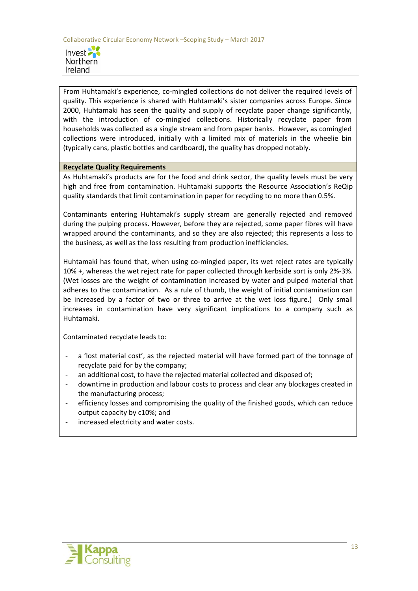

From Huhtamaki's experience, co-mingled collections do not deliver the required levels of quality. This experience is shared with Huhtamaki's sister companies across Europe. Since 2000, Huhtamaki has seen the quality and supply of recyclate paper change significantly, with the introduction of co-mingled collections. Historically recyclate paper from households was collected as a single stream and from paper banks. However, as comingled collections were introduced, initially with a limited mix of materials in the wheelie bin (typically cans, plastic bottles and cardboard), the quality has dropped notably.

#### **Recyclate Quality Requirements**

As Huhtamaki's products are for the food and drink sector, the quality levels must be very high and free from contamination. Huhtamaki supports the Resource Association's ReQip quality standards that limit contamination in paper for recycling to no more than 0.5%.

Contaminants entering Huhtamaki's supply stream are generally rejected and removed during the pulping process. However, before they are rejected, some paper fibres will have wrapped around the contaminants, and so they are also rejected; this represents a loss to the business, as well as the loss resulting from production inefficiencies.

Huhtamaki has found that, when using co-mingled paper, its wet reject rates are typically 10% +, whereas the wet reject rate for paper collected through kerbside sort is only 2%-3%. (Wet losses are the weight of contamination increased by water and pulped material that adheres to the contamination. As a rule of thumb, the weight of initial contamination can be increased by a factor of two or three to arrive at the wet loss figure.) Only small increases in contamination have very significant implications to a company such as Huhtamaki.

Contaminated recyclate leads to:

- a 'lost material cost', as the rejected material will have formed part of the tonnage of recyclate paid for by the company;
- an additional cost, to have the rejected material collected and disposed of;
- downtime in production and labour costs to process and clear any blockages created in the manufacturing process;
- efficiency losses and compromising the quality of the finished goods, which can reduce output capacity by c10%; and
- increased electricity and water costs.

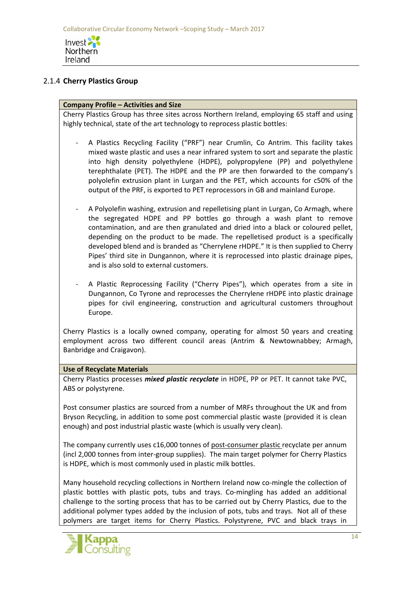

## 2.1.4 **Cherry Plastics Group**

#### **Company Profile – Activities and Size**

Cherry Plastics Group has three sites across Northern Ireland, employing 65 staff and using highly technical, state of the art technology to reprocess plastic bottles:

- A Plastics Recycling Facility ("PRF") near Crumlin, Co Antrim. This facility takes mixed waste plastic and uses a near infrared system to sort and separate the plastic into high density polyethylene (HDPE), polypropylene (PP) and polyethylene terephthalate (PET). The HDPE and the PP are then forwarded to the company's polyolefin extrusion plant in Lurgan and the PET, which accounts for c50% of the output of the PRF, is exported to PET reprocessors in GB and mainland Europe.
- A Polyolefin washing, extrusion and repelletising plant in Lurgan, Co Armagh, where the segregated HDPE and PP bottles go through a wash plant to remove contamination, and are then granulated and dried into a black or coloured pellet, depending on the product to be made. The repelletised product is a specifically developed blend and is branded as "Cherrylene rHDPE." It is then supplied to Cherry Pipes' third site in Dungannon, where it is reprocessed into plastic drainage pipes, and is also sold to external customers.
- A Plastic Reprocessing Facility ("Cherry Pipes"), which operates from a site in Dungannon, Co Tyrone and reprocesses the Cherrylene rHDPE into plastic drainage pipes for civil engineering, construction and agricultural customers throughout Europe.

Cherry Plastics is a locally owned company, operating for almost 50 years and creating employment across two different council areas (Antrim & Newtownabbey; Armagh, Banbridge and Craigavon).

#### **Use of Recyclate Materials**

Cherry Plastics processes *mixed plastic recyclate* in HDPE, PP or PET. It cannot take PVC, ABS or polystyrene.

Post consumer plastics are sourced from a number of MRFs throughout the UK and from Bryson Recycling, in addition to some post commercial plastic waste (provided it is clean enough) and post industrial plastic waste (which is usually very clean).

The company currently uses c16,000 tonnes of post-consumer plastic recyclate per annum (incl 2,000 tonnes from inter-group supplies). The main target polymer for Cherry Plastics is HDPE, which is most commonly used in plastic milk bottles.

Many household recycling collections in Northern Ireland now co-mingle the collection of plastic bottles with plastic pots, tubs and trays. Co-mingling has added an additional challenge to the sorting process that has to be carried out by Cherry Plastics, due to the additional polymer types added by the inclusion of pots, tubs and trays. Not all of these polymers are target items for Cherry Plastics. Polystyrene, PVC and black trays in

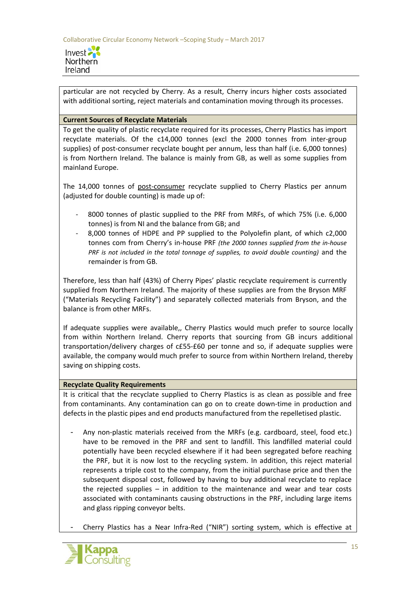

particular are not recycled by Cherry. As a result, Cherry incurs higher costs associated with additional sorting, reject materials and contamination moving through its processes.

#### **Current Sources of Recyclate Materials**

To get the quality of plastic recyclate required for its processes, Cherry Plastics has import recyclate materials. Of the c14,000 tonnes (excl the 2000 tonnes from inter-group supplies) of post-consumer recyclate bought per annum, less than half (i.e. 6,000 tonnes) is from Northern Ireland. The balance is mainly from GB, as well as some supplies from mainland Europe.

The 14,000 tonnes of post-consumer recyclate supplied to Cherry Plastics per annum (adjusted for double counting) is made up of:

- 8000 tonnes of plastic supplied to the PRF from MRFs, of which 75% (i.e. 6,000 tonnes) is from NI and the balance from GB; and
- 8,000 tonnes of HDPE and PP supplied to the Polyolefin plant, of which c2,000 tonnes com from Cherry's in-house PRF *(the 2000 tonnes supplied from the in-house PRF is not included in the total tonnage of supplies, to avoid double counting)* and the remainder is from GB.

Therefore, less than half (43%) of Cherry Pipes' plastic recyclate requirement is currently supplied from Northern Ireland. The majority of these supplies are from the Bryson MRF ("Materials Recycling Facility") and separately collected materials from Bryson, and the balance is from other MRFs.

If adequate supplies were available,, Cherry Plastics would much prefer to source locally from within Northern Ireland. Cherry reports that sourcing from GB incurs additional transportation/delivery charges of c£55-£60 per tonne and so, if adequate supplies were available, the company would much prefer to source from within Northern Ireland, thereby saving on shipping costs.

#### **Recyclate Quality Requirements**

It is critical that the recyclate supplied to Cherry Plastics is as clean as possible and free from contaminants. Any contamination can go on to create down-time in production and defects in the plastic pipes and end products manufactured from the repelletised plastic.

- Any non-plastic materials received from the MRFs (e.g. cardboard, steel, food etc.) have to be removed in the PRF and sent to landfill. This landfilled material could potentially have been recycled elsewhere if it had been segregated before reaching the PRF, but it is now lost to the recycling system. In addition, this reject material represents a triple cost to the company, from the initial purchase price and then the subsequent disposal cost, followed by having to buy additional recyclate to replace the rejected supplies – in addition to the maintenance and wear and tear costs associated with contaminants causing obstructions in the PRF, including large items and glass ripping conveyor belts.
- Cherry Plastics has a Near Infra-Red ("NIR") sorting system, which is effective at

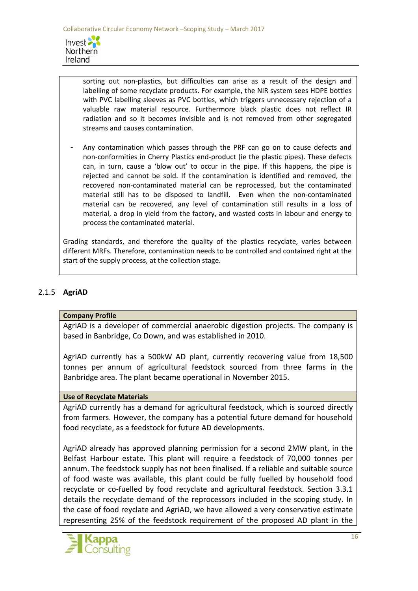

sorting out non-plastics, but difficulties can arise as a result of the design and labelling of some recyclate products. For example, the NIR system sees HDPE bottles with PVC labelling sleeves as PVC bottles, which triggers unnecessary rejection of a valuable raw material resource. Furthermore black plastic does not reflect IR radiation and so it becomes invisible and is not removed from other segregated streams and causes contamination.

- Any contamination which passes through the PRF can go on to cause defects and non-conformities in Cherry Plastics end-product (ie the plastic pipes). These defects can, in turn, cause a 'blow out' to occur in the pipe. If this happens, the pipe is rejected and cannot be sold. If the contamination is identified and removed, the recovered non-contaminated material can be reprocessed, but the contaminated material still has to be disposed to landfill. Even when the non-contaminated material can be recovered, any level of contamination still results in a loss of material, a drop in yield from the factory, and wasted costs in labour and energy to process the contaminated material.

Grading standards, and therefore the quality of the plastics recyclate, varies between different MRFs. Therefore, contamination needs to be controlled and contained right at the start of the supply process, at the collection stage.

## 2.1.5 **AgriAD**

#### **Company Profile**

AgriAD is a developer of commercial anaerobic digestion projects. The company is based in Banbridge, Co Down, and was established in 2010.

AgriAD currently has a 500kW AD plant, currently recovering value from 18,500 tonnes per annum of agricultural feedstock sourced from three farms in the Banbridge area. The plant became operational in November 2015.

## **Use of Recyclate Materials**

AgriAD currently has a demand for agricultural feedstock, which is sourced directly from farmers. However, the company has a potential future demand for household food recyclate, as a feedstock for future AD developments.

AgriAD already has approved planning permission for a second 2MW plant, in the Belfast Harbour estate. This plant will require a feedstock of 70,000 tonnes per annum. The feedstock supply has not been finalised. If a reliable and suitable source of food waste was available, this plant could be fully fuelled by household food recyclate or co-fuelled by food recyclate and agricultural feedstock. Section 3.3.1 details the recyclate demand of the reprocessors included in the scoping study. In the case of food reyclate and AgriAD, we have allowed a very conservative estimate representing 25% of the feedstock requirement of the proposed AD plant in the

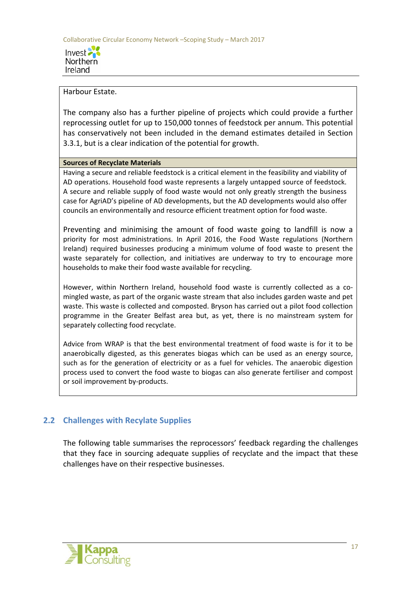

#### Harbour Estate.

The company also has a further pipeline of projects which could provide a further reprocessing outlet for up to 150,000 tonnes of feedstock per annum. This potential has conservatively not been included in the demand estimates detailed in Section 3.3.1, but is a clear indication of the potential for growth.

#### **Sources of Recyclate Materials**

Having a secure and reliable feedstock is a critical element in the feasibility and viability of AD operations. Household food waste represents a largely untapped source of feedstock. A secure and reliable supply of food waste would not only greatly strength the business case for AgriAD's pipeline of AD developments, but the AD developments would also offer councils an environmentally and resource efficient treatment option for food waste.

Preventing and minimising the amount of food waste going to landfill is now a priority for most administrations. In April 2016, the Food Waste regulations (Northern Ireland) required businesses producing a minimum volume of food waste to present the waste separately for collection, and initiatives are underway to try to encourage more households to make their food waste available for recycling.

However, within Northern Ireland, household food waste is currently collected as a comingled waste, as part of the organic waste stream that also includes garden waste and pet waste. This waste is collected and composted. Bryson has carried out a pilot food collection programme in the Greater Belfast area but, as yet, there is no mainstream system for separately collecting food recyclate.

Advice from WRAP is that the best environmental treatment of food waste is for it to be anaerobically digested, as this generates biogas which can be used as an energy source, such as for the generation of electricity or as a fuel for vehicles. The anaerobic digestion process used to convert the food waste to biogas can also generate fertiliser and compost or soil improvement by-products.

# **2.2 Challenges with Recylate Supplies**

The following table summarises the reprocessors' feedback regarding the challenges that they face in sourcing adequate supplies of recyclate and the impact that these challenges have on their respective businesses.

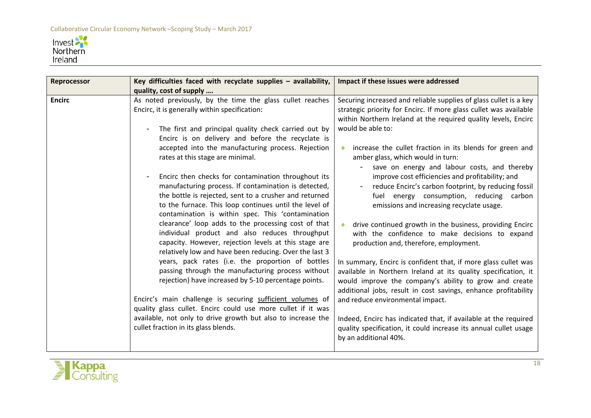

| Reprocessor   | Key difficulties faced with recyclate supplies - availability,<br>quality, cost of supply                                                                                                                                                                                                                                                                                                                                                                                                                                                                                                                                                                                                                                                                                                                                                                                                                                                                                                                                                                                                                                                                                                                                                                                | Impact if these issues were addressed                                                                                                                                                                                                                                                                                                                                                                                                                                                                                                                                                                                                                                                                                                                                                                                                                                                                                                                                                                                                                                                                                                                                                                            |
|---------------|--------------------------------------------------------------------------------------------------------------------------------------------------------------------------------------------------------------------------------------------------------------------------------------------------------------------------------------------------------------------------------------------------------------------------------------------------------------------------------------------------------------------------------------------------------------------------------------------------------------------------------------------------------------------------------------------------------------------------------------------------------------------------------------------------------------------------------------------------------------------------------------------------------------------------------------------------------------------------------------------------------------------------------------------------------------------------------------------------------------------------------------------------------------------------------------------------------------------------------------------------------------------------|------------------------------------------------------------------------------------------------------------------------------------------------------------------------------------------------------------------------------------------------------------------------------------------------------------------------------------------------------------------------------------------------------------------------------------------------------------------------------------------------------------------------------------------------------------------------------------------------------------------------------------------------------------------------------------------------------------------------------------------------------------------------------------------------------------------------------------------------------------------------------------------------------------------------------------------------------------------------------------------------------------------------------------------------------------------------------------------------------------------------------------------------------------------------------------------------------------------|
| <b>Encirc</b> | As noted previously, by the time the glass cullet reaches<br>Encirc, it is generally within specification:<br>The first and principal quality check carried out by<br>$\overline{\phantom{a}}$<br>Encirc is on delivery and before the recyclate is<br>accepted into the manufacturing process. Rejection<br>rates at this stage are minimal.<br>Encirc then checks for contamination throughout its<br>manufacturing process. If contamination is detected,<br>the bottle is rejected, sent to a crusher and returned<br>to the furnace. This loop continues until the level of<br>contamination is within spec. This 'contamination<br>clearance' loop adds to the processing cost of that<br>individual product and also reduces throughput<br>capacity. However, rejection levels at this stage are<br>relatively low and have been reducing. Over the last 3<br>years, pack rates (i.e. the proportion of bottles<br>passing through the manufacturing process without<br>rejection) have increased by 5-10 percentage points.<br>Encirc's main challenge is securing sufficient volumes of<br>quality glass cullet. Encirc could use more cullet if it was<br>available, not only to drive growth but also to increase the<br>cullet fraction in its glass blends. | Securing increased and reliable supplies of glass cullet is a key<br>strategic priority for Encirc. If more glass cullet was available<br>within Northern Ireland at the required quality levels, Encirc<br>would be able to:<br>increase the cullet fraction in its blends for green and<br>amber glass, which would in turn:<br>save on energy and labour costs, and thereby<br>improve cost efficiencies and profitability; and<br>reduce Encirc's carbon footprint, by reducing fossil<br>fuel energy consumption, reducing carbon<br>emissions and increasing recyclate usage.<br>drive continued growth in the business, providing Encirc<br>with the confidence to make decisions to expand<br>production and, therefore, employment.<br>In summary, Encirc is confident that, if more glass cullet was<br>available in Northern Ireland at its quality specification, it<br>would improve the company's ability to grow and create<br>additional jobs, result in cost savings, enhance profitability<br>and reduce environmental impact.<br>Indeed, Encirc has indicated that, if available at the required<br>quality specification, it could increase its annual cullet usage<br>by an additional 40%. |

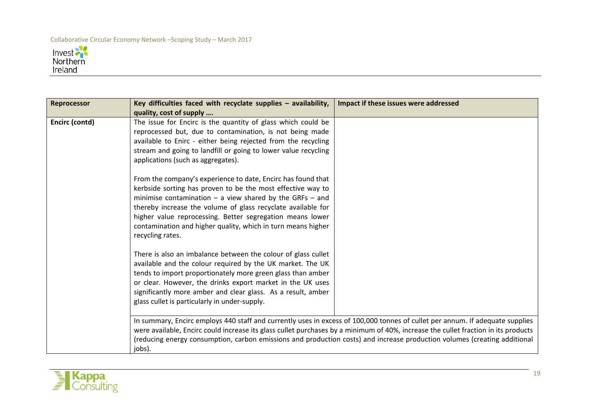

| <b>Reprocessor</b> | Key difficulties faced with recyclate supplies $-$ availability,<br>quality, cost of supply                                                                                                                                                                                                                                                                                                                  | Impact if these issues were addressed                                                                                                                                                                                                                                                                                                                                                            |
|--------------------|--------------------------------------------------------------------------------------------------------------------------------------------------------------------------------------------------------------------------------------------------------------------------------------------------------------------------------------------------------------------------------------------------------------|--------------------------------------------------------------------------------------------------------------------------------------------------------------------------------------------------------------------------------------------------------------------------------------------------------------------------------------------------------------------------------------------------|
| Encirc (contd)     | The issue for Encirc is the quantity of glass which could be<br>reprocessed but, due to contamination, is not being made<br>available to Enirc - either being rejected from the recycling<br>stream and going to landfill or going to lower value recycling<br>applications (such as aggregates).                                                                                                            |                                                                                                                                                                                                                                                                                                                                                                                                  |
|                    | From the company's experience to date, Encirc has found that<br>kerbside sorting has proven to be the most effective way to<br>minimise contamination $-$ a view shared by the GRFs $-$ and<br>thereby increase the volume of glass recyclate available for<br>higher value reprocessing. Better segregation means lower<br>contamination and higher quality, which in turn means higher<br>recycling rates. |                                                                                                                                                                                                                                                                                                                                                                                                  |
|                    | There is also an imbalance between the colour of glass cullet<br>available and the colour required by the UK market. The UK<br>tends to import proportionately more green glass than amber<br>or clear. However, the drinks export market in the UK uses<br>significantly more amber and clear glass. As a result, amber<br>glass cullet is particularly in under-supply.                                    |                                                                                                                                                                                                                                                                                                                                                                                                  |
|                    | jobs).                                                                                                                                                                                                                                                                                                                                                                                                       | In summary, Encirc employs 440 staff and currently uses in excess of 100,000 tonnes of cullet per annum. If adequate supplies<br>were available, Encirc could increase its glass cullet purchases by a minimum of 40%, increase the cullet fraction in its products<br>(reducing energy consumption, carbon emissions and production costs) and increase production volumes (creating additional |

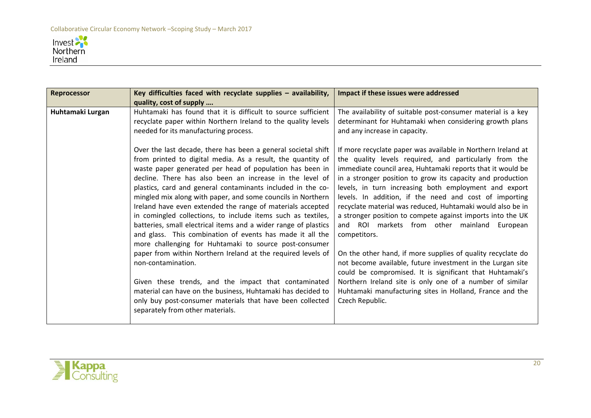

| <b>Reprocessor</b> | Key difficulties faced with recyclate supplies - availability,<br>quality, cost of supply                                                                                                                                                                                                                                                                                                                                                                                                                                                                                                                                                                                                                                                                                                                                                                                                                                                                                                                                | Impact if these issues were addressed                                                                                                                                                                                                                                                                                                                                                                                                                                                                                                                                                                                                                                                                                                                                                                                                                                                                    |
|--------------------|--------------------------------------------------------------------------------------------------------------------------------------------------------------------------------------------------------------------------------------------------------------------------------------------------------------------------------------------------------------------------------------------------------------------------------------------------------------------------------------------------------------------------------------------------------------------------------------------------------------------------------------------------------------------------------------------------------------------------------------------------------------------------------------------------------------------------------------------------------------------------------------------------------------------------------------------------------------------------------------------------------------------------|----------------------------------------------------------------------------------------------------------------------------------------------------------------------------------------------------------------------------------------------------------------------------------------------------------------------------------------------------------------------------------------------------------------------------------------------------------------------------------------------------------------------------------------------------------------------------------------------------------------------------------------------------------------------------------------------------------------------------------------------------------------------------------------------------------------------------------------------------------------------------------------------------------|
| Huhtamaki Lurgan   | Huhtamaki has found that it is difficult to source sufficient<br>recyclate paper within Northern Ireland to the quality levels<br>needed for its manufacturing process.                                                                                                                                                                                                                                                                                                                                                                                                                                                                                                                                                                                                                                                                                                                                                                                                                                                  | The availability of suitable post-consumer material is a key<br>determinant for Huhtamaki when considering growth plans<br>and any increase in capacity.                                                                                                                                                                                                                                                                                                                                                                                                                                                                                                                                                                                                                                                                                                                                                 |
|                    | Over the last decade, there has been a general societal shift<br>from printed to digital media. As a result, the quantity of<br>waste paper generated per head of population has been in<br>decline. There has also been an increase in the level of<br>plastics, card and general contaminants included in the co-<br>mingled mix along with paper, and some councils in Northern<br>Ireland have even extended the range of materials accepted<br>in comingled collections, to include items such as textiles,<br>batteries, small electrical items and a wider range of plastics<br>and glass. This combination of events has made it all the<br>more challenging for Huhtamaki to source post-consumer<br>paper from within Northern Ireland at the required levels of<br>non-contamination.<br>Given these trends, and the impact that contaminated<br>material can have on the business, Huhtamaki has decided to<br>only buy post-consumer materials that have been collected<br>separately from other materials. | If more recyclate paper was available in Northern Ireland at<br>the quality levels required, and particularly from the<br>immediate council area, Huhtamaki reports that it would be<br>in a stronger position to grow its capacity and production<br>levels, in turn increasing both employment and export<br>levels. In addition, if the need and cost of importing<br>recyclate material was reduced, Huhtamaki would also be in<br>a stronger position to compete against imports into the UK<br>and ROI markets from other mainland<br>European<br>competitors.<br>On the other hand, if more supplies of quality recyclate do<br>not become available, future investment in the Lurgan site<br>could be compromised. It is significant that Huhtamaki's<br>Northern Ireland site is only one of a number of similar<br>Huhtamaki manufacturing sites in Holland, France and the<br>Czech Republic. |

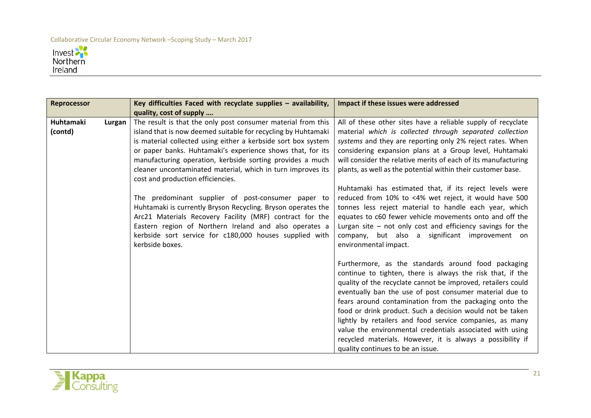

| <b>Reprocessor</b>   |        | Key difficulties Faced with recyclate supplies - availability,<br>quality, cost of supply                                                                                                                                                                                                                                                                                                                                     | Impact if these issues were addressed                                                                                                                                                                                                                                                                                                                                                                                                                                                                                                                                                           |
|----------------------|--------|-------------------------------------------------------------------------------------------------------------------------------------------------------------------------------------------------------------------------------------------------------------------------------------------------------------------------------------------------------------------------------------------------------------------------------|-------------------------------------------------------------------------------------------------------------------------------------------------------------------------------------------------------------------------------------------------------------------------------------------------------------------------------------------------------------------------------------------------------------------------------------------------------------------------------------------------------------------------------------------------------------------------------------------------|
| Huhtamaki<br>(contd) | Lurgan | The result is that the only post consumer material from this<br>island that is now deemed suitable for recycling by Huhtamaki<br>is material collected using either a kerbside sort box system<br>or paper banks. Huhtamaki's experience shows that, for its<br>manufacturing operation, kerbside sorting provides a much<br>cleaner uncontaminated material, which in turn improves its<br>cost and production efficiencies. | All of these other sites have a reliable supply of recyclate<br>material which is collected through separated collection<br>systems and they are reporting only 2% reject rates. When<br>considering expansion plans at a Group level, Huhtamaki<br>will consider the relative merits of each of its manufacturing<br>plants, as well as the potential within their customer base.                                                                                                                                                                                                              |
|                      |        | The predominant supplier of post-consumer paper to<br>Huhtamaki is currently Bryson Recycling. Bryson operates the<br>Arc21 Materials Recovery Facility (MRF) contract for the<br>Eastern region of Northern Ireland and also operates a<br>kerbside sort service for c180,000 houses supplied with<br>kerbside boxes.                                                                                                        | Huhtamaki has estimated that, if its reject levels were<br>reduced from 10% to <4% wet reject, it would have 500<br>tonnes less reject material to handle each year, which<br>equates to c60 fewer vehicle movements onto and off the<br>Lurgan site $-$ not only cost and efficiency savings for the<br>company, but also a significant improvement on<br>environmental impact.                                                                                                                                                                                                                |
|                      |        |                                                                                                                                                                                                                                                                                                                                                                                                                               | Furthermore, as the standards around food packaging<br>continue to tighten, there is always the risk that, if the<br>quality of the recyclate cannot be improved, retailers could<br>eventually ban the use of post consumer material due to<br>fears around contamination from the packaging onto the<br>food or drink product. Such a decision would not be taken<br>lightly by retailers and food service companies, as many<br>value the environmental credentials associated with using<br>recycled materials. However, it is always a possibility if<br>quality continues to be an issue. |

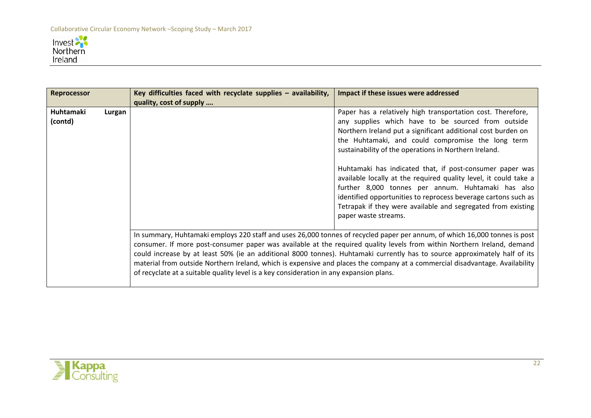

| Reprocessor                    |  | Key difficulties faced with recyclate supplies - availability, | Impact if these issues were addressed                                                                                                                                                                                                                                                                                                                                                                                                                                                                                                                                                                                                           |  |  |
|--------------------------------|--|----------------------------------------------------------------|-------------------------------------------------------------------------------------------------------------------------------------------------------------------------------------------------------------------------------------------------------------------------------------------------------------------------------------------------------------------------------------------------------------------------------------------------------------------------------------------------------------------------------------------------------------------------------------------------------------------------------------------------|--|--|
|                                |  | quality, cost of supply                                        |                                                                                                                                                                                                                                                                                                                                                                                                                                                                                                                                                                                                                                                 |  |  |
| Huhtamaki<br>Lurgan<br>(contd) |  |                                                                | Paper has a relatively high transportation cost. Therefore,<br>any supplies which have to be sourced from outside<br>Northern Ireland put a significant additional cost burden on<br>the Huhtamaki, and could compromise the long term<br>sustainability of the operations in Northern Ireland.<br>Huhtamaki has indicated that, if post-consumer paper was<br>available locally at the required quality level, it could take a<br>further 8,000 tonnes per annum. Huhtamaki has also<br>identified opportunities to reprocess beverage cartons such as<br>Tetrapak if they were available and segregated from existing<br>paper waste streams. |  |  |
|                                |  |                                                                | In summary, Huhtamaki employs 220 staff and uses 26,000 tonnes of recycled paper per annum, of which 16,000 tonnes is post<br>consumer. If more post-consumer paper was available at the required quality levels from within Northern Ireland, demand<br>could increase by at least 50% (ie an additional 8000 tonnes). Huhtamaki currently has to source approximately half of its<br>material from outside Northern Ireland, which is expensive and places the company at a commercial disadvantage. Availability<br>of recyclate at a suitable quality level is a key consideration in any expansion plans.                                  |  |  |

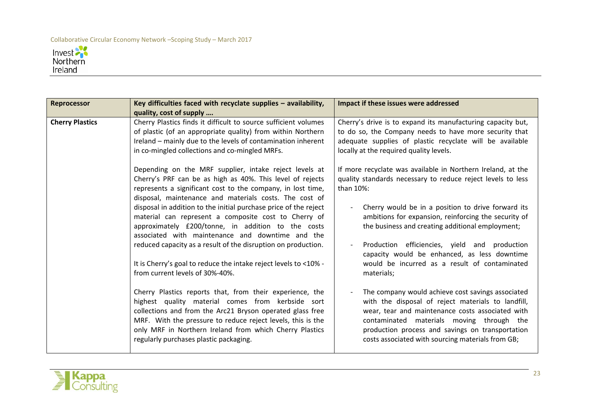

| <b>Reprocessor</b>     | Key difficulties faced with recyclate supplies - availability,<br>quality, cost of supply                                                                                                                                                                                                                                                                                                                                                                                                                                                                                                                                                                                                                                                                                                                                                                                                                                                                                                                                                                                                                                                                                                                                                                        | Impact if these issues were addressed                                                                                                                                                                                                                                                                                                                                                                                                                                                                                                                                                                                                                                                                                                                                                                                                                                                                                                                                                                                          |
|------------------------|------------------------------------------------------------------------------------------------------------------------------------------------------------------------------------------------------------------------------------------------------------------------------------------------------------------------------------------------------------------------------------------------------------------------------------------------------------------------------------------------------------------------------------------------------------------------------------------------------------------------------------------------------------------------------------------------------------------------------------------------------------------------------------------------------------------------------------------------------------------------------------------------------------------------------------------------------------------------------------------------------------------------------------------------------------------------------------------------------------------------------------------------------------------------------------------------------------------------------------------------------------------|--------------------------------------------------------------------------------------------------------------------------------------------------------------------------------------------------------------------------------------------------------------------------------------------------------------------------------------------------------------------------------------------------------------------------------------------------------------------------------------------------------------------------------------------------------------------------------------------------------------------------------------------------------------------------------------------------------------------------------------------------------------------------------------------------------------------------------------------------------------------------------------------------------------------------------------------------------------------------------------------------------------------------------|
| <b>Cherry Plastics</b> | Cherry Plastics finds it difficult to source sufficient volumes<br>of plastic (of an appropriate quality) from within Northern<br>Ireland - mainly due to the levels of contamination inherent<br>in co-mingled collections and co-mingled MRFs.<br>Depending on the MRF supplier, intake reject levels at<br>Cherry's PRF can be as high as 40%. This level of rejects<br>represents a significant cost to the company, in lost time,<br>disposal, maintenance and materials costs. The cost of<br>disposal in addition to the initial purchase price of the reject<br>material can represent a composite cost to Cherry of<br>approximately £200/tonne, in addition to the costs<br>associated with maintenance and downtime and the<br>reduced capacity as a result of the disruption on production.<br>It is Cherry's goal to reduce the intake reject levels to <10% -<br>from current levels of 30%-40%.<br>Cherry Plastics reports that, from their experience, the<br>highest quality material comes from kerbside sort<br>collections and from the Arc21 Bryson operated glass free<br>MRF. With the pressure to reduce reject levels, this is the<br>only MRF in Northern Ireland from which Cherry Plastics<br>regularly purchases plastic packaging. | Cherry's drive is to expand its manufacturing capacity but,<br>to do so, the Company needs to have more security that<br>adequate supplies of plastic recyclate will be available<br>locally at the required quality levels.<br>If more recyclate was available in Northern Ireland, at the<br>quality standards necessary to reduce reject levels to less<br>than 10%:<br>Cherry would be in a position to drive forward its<br>ambitions for expansion, reinforcing the security of<br>the business and creating additional employment;<br>Production efficiencies, yield and production<br>capacity would be enhanced, as less downtime<br>would be incurred as a result of contaminated<br>materials;<br>The company would achieve cost savings associated<br>with the disposal of reject materials to landfill,<br>wear, tear and maintenance costs associated with<br>contaminated materials moving through the<br>production process and savings on transportation<br>costs associated with sourcing materials from GB; |
|                        |                                                                                                                                                                                                                                                                                                                                                                                                                                                                                                                                                                                                                                                                                                                                                                                                                                                                                                                                                                                                                                                                                                                                                                                                                                                                  |                                                                                                                                                                                                                                                                                                                                                                                                                                                                                                                                                                                                                                                                                                                                                                                                                                                                                                                                                                                                                                |

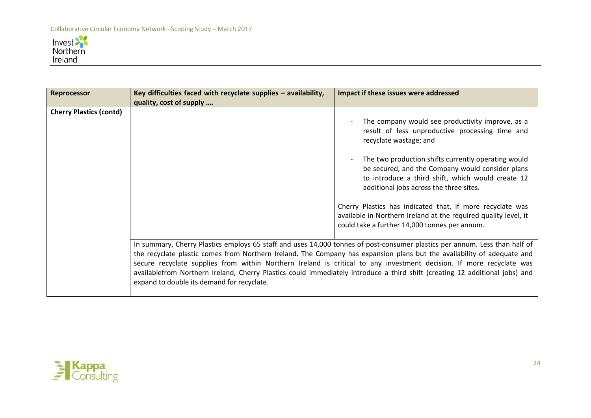

| <b>Reprocessor</b>             | Key difficulties faced with recyclate supplies - availability,                                                                                                                                                                                                                                                                                                                                                                                                                                                                                             | Impact if these issues were addressed                                                                                                                                                                   |  |
|--------------------------------|------------------------------------------------------------------------------------------------------------------------------------------------------------------------------------------------------------------------------------------------------------------------------------------------------------------------------------------------------------------------------------------------------------------------------------------------------------------------------------------------------------------------------------------------------------|---------------------------------------------------------------------------------------------------------------------------------------------------------------------------------------------------------|--|
|                                | quality, cost of supply                                                                                                                                                                                                                                                                                                                                                                                                                                                                                                                                    |                                                                                                                                                                                                         |  |
| <b>Cherry Plastics (contd)</b> |                                                                                                                                                                                                                                                                                                                                                                                                                                                                                                                                                            | The company would see productivity improve, as a<br>result of less unproductive processing time and<br>recyclate wastage; and                                                                           |  |
|                                |                                                                                                                                                                                                                                                                                                                                                                                                                                                                                                                                                            | The two production shifts currently operating would<br>be secured, and the Company would consider plans<br>to introduce a third shift, which would create 12<br>additional jobs across the three sites. |  |
|                                |                                                                                                                                                                                                                                                                                                                                                                                                                                                                                                                                                            | Cherry Plastics has indicated that, if more recyclate was<br>available in Northern Ireland at the required quality level, it<br>could take a further 14,000 tonnes per annum.                           |  |
|                                | In summary, Cherry Plastics employs 65 staff and uses 14,000 tonnes of post-consumer plastics per annum. Less than half of<br>the recyclate plastic comes from Northern Ireland. The Company has expansion plans but the availability of adequate and<br>secure recyclate supplies from within Northern Ireland is critical to any investment decision. If more recyclate was<br>availablefrom Northern Ireland, Cherry Plastics could immediately introduce a third shift (creating 12 additional jobs) and<br>expand to double its demand for recyclate. |                                                                                                                                                                                                         |  |

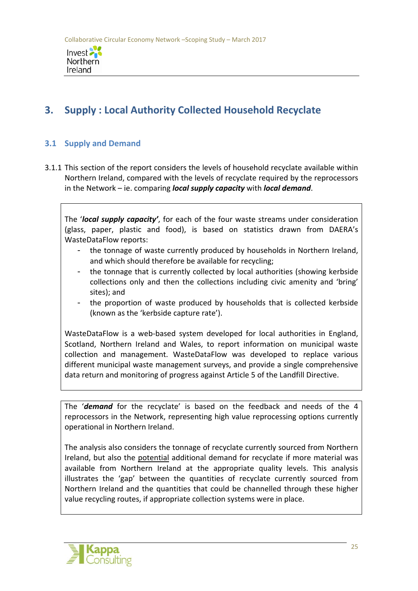

# **3. Supply : Local Authority Collected Household Recyclate**

# **3.1 Supply and Demand**

3.1.1 This section of the report considers the levels of household recyclate available within Northern Ireland, compared with the levels of recyclate required by the reprocessors in the Network – ie. comparing *local supply capacity* with *local demand*.

The '*local supply capacity'*, for each of the four waste streams under consideration (glass, paper, plastic and food), is based on statistics drawn from DAERA's WasteDataFlow reports:

- the tonnage of waste currently produced by households in Northern Ireland, and which should therefore be available for recycling;
- the tonnage that is currently collected by local authorities (showing kerbside collections only and then the collections including civic amenity and 'bring' sites); and
- the proportion of waste produced by households that is collected kerbside (known as the 'kerbside capture rate').

WasteDataFlow is a web-based system developed for local authorities in England, Scotland, Northern Ireland and Wales, to report information on municipal waste collection and management. WasteDataFlow was developed to replace various different municipal waste management surveys, and provide a single comprehensive data return and monitoring of progress against Article 5 of the Landfill Directive.

The '*demand* for the recyclate' is based on the feedback and needs of the 4 reprocessors in the Network, representing high value reprocessing options currently operational in Northern Ireland.

The analysis also considers the tonnage of recyclate currently sourced from Northern Ireland, but also the potential additional demand for recyclate if more material was available from Northern Ireland at the appropriate quality levels. This analysis illustrates the 'gap' between the quantities of recyclate currently sourced from Northern Ireland and the quantities that could be channelled through these higher value recycling routes, if appropriate collection systems were in place.

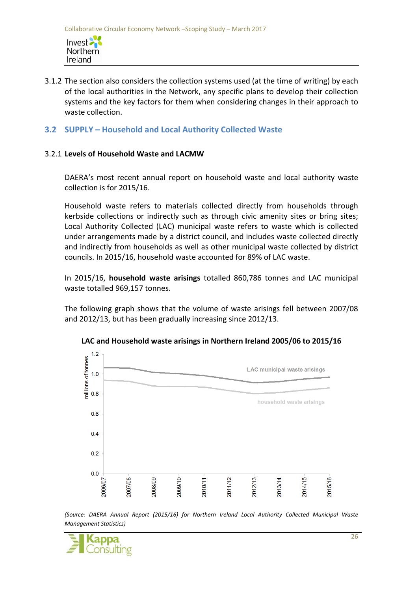- 3.1.2 The section also considers the collection systems used (at the time of writing) by each of the local authorities in the Network, any specific plans to develop their collection systems and the key factors for them when considering changes in their approach to waste collection.
- **3.2 SUPPLY – Household and Local Authority Collected Waste**

#### 3.2.1 **Levels of Household Waste and LACMW**

Northern Ireland

DAERA's most recent annual report on household waste and local authority waste collection is for 2015/16.

Household waste refers to materials collected directly from households through kerbside collections or indirectly such as through civic amenity sites or bring sites; Local Authority Collected (LAC) municipal waste refers to waste which is collected under arrangements made by a district council, and includes waste collected directly and indirectly from households as well as other municipal waste collected by district councils. In 2015/16, household waste accounted for 89% of LAC waste.

In 2015/16, **household waste arisings** totalled 860,786 tonnes and LAC municipal waste totalled 969,157 tonnes.

The following graph shows that the volume of waste arisings fell between 2007/08 and 2012/13, but has been gradually increasing since 2012/13.



#### **LAC and Household waste arisings in Northern Ireland 2005/06 to 2015/16**

*(Source: DAERA Annual Report (2015/16) for Northern Ireland Local Authority Collected Municipal Waste Management Statistics)*

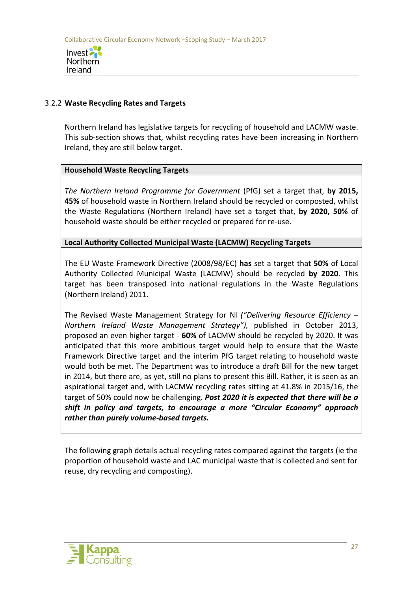

### 3.2.2 **Waste Recycling Rates and Targets**

Northern Ireland has legislative targets for recycling of household and LACMW waste. This sub-section shows that, whilst recycling rates have been increasing in Northern Ireland, they are still below target.

## **Household Waste Recycling Targets**

*The Northern Ireland Programme for Government* (PfG) set a target that, **by 2015, 45%** of household waste in Northern Ireland should be recycled or composted, whilst the Waste Regulations (Northern Ireland) have set a target that, **by 2020, 50%** of household waste should be either recycled or prepared for re-use.

## **Local Authority Collected Municipal Waste (LACMW) Recycling Targets**

The EU Waste Framework Directive (2008/98/EC) **has** set a target that **50%** of Local Authority Collected Municipal Waste (LACMW) should be recycled **by 2020**. This target has been transposed into national regulations in the Waste Regulations (Northern Ireland) 2011.

The Revised Waste Management Strategy for NI *("Delivering Resource Efficiency – Northern Ireland Waste Management Strategy"),* published in October 2013, proposed an even higher target - **60%** of LACMW should be recycled by 2020. It was anticipated that this more ambitious target would help to ensure that the Waste Framework Directive target and the interim PfG target relating to household waste would both be met. The Department was to introduce a draft Bill for the new target in 2014, but there are, as yet, still no plans to present this Bill. Rather, it is seen as an aspirational target and, with LACMW recycling rates sitting at 41.8% in 2015/16, the target of 50% could now be challenging. *Post 2020 it is expected that there will be a shift in policy and targets, to encourage a more "Circular Economy" approach rather than purely volume-based targets.*

The following graph details actual recycling rates compared against the targets (ie the proportion of household waste and LAC municipal waste that is collected and sent for reuse, dry recycling and composting).

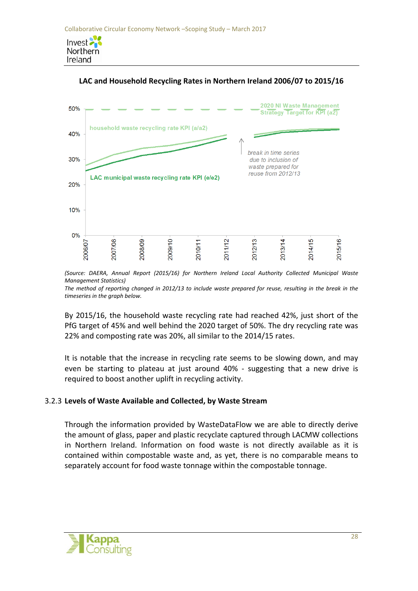Northern Ireland





*(Source: DAERA, Annual Report (2015/16) for Northern Ireland Local Authority Collected Municipal Waste Management Statistics)*

*The method of reporting changed in 2012/13 to include waste prepared for reuse, resulting in the break in the timeseries in the graph below.*

By 2015/16, the household waste recycling rate had reached 42%, just short of the PfG target of 45% and well behind the 2020 target of 50%. The dry recycling rate was 22% and composting rate was 20%, all similar to the 2014/15 rates.

It is notable that the increase in recycling rate seems to be slowing down, and may even be starting to plateau at just around 40% - suggesting that a new drive is required to boost another uplift in recycling activity.

# 3.2.3 **Levels of Waste Available and Collected, by Waste Stream**

Through the information provided by WasteDataFlow we are able to directly derive the amount of glass, paper and plastic recyclate captured through LACMW collections in Northern Ireland. Information on food waste is not directly available as it is contained within compostable waste and, as yet, there is no comparable means to separately account for food waste tonnage within the compostable tonnage.

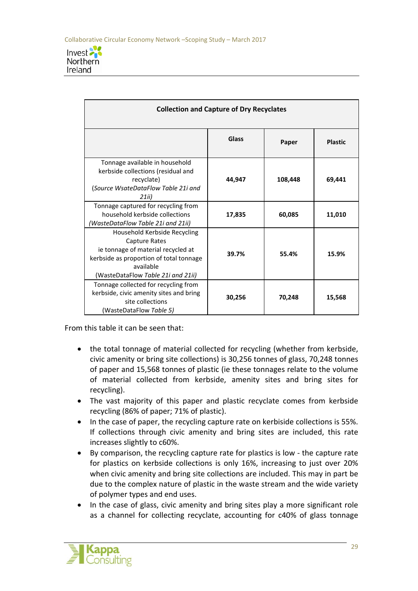

| <b>Collection and Capture of Dry Recyclates</b>                                                                                                                                   |        |         |                |  |  |
|-----------------------------------------------------------------------------------------------------------------------------------------------------------------------------------|--------|---------|----------------|--|--|
|                                                                                                                                                                                   | Glass  | Paper   | <b>Plastic</b> |  |  |
| Tonnage available in household<br>kerbside collections (residual and<br>recyclate)<br>(Source WsateDataFlow Table 21i and<br>21ii)                                                | 44,947 | 108,448 | 69,441         |  |  |
| Tonnage captured for recycling from<br>household kerbside collections<br>WasteDataFlow Table 21i and 21ii)                                                                        | 17,835 | 60,085  | 11,010         |  |  |
| Household Kerbside Recycling<br>Capture Rates<br>ie tonnage of material recycled at<br>kerbside as proportion of total tonnage<br>available<br>(WasteDataFlow Table 21i and 21ii) | 39.7%  | 55.4%   | 15.9%          |  |  |
| Tonnage collected for recycling from<br>kerbside, civic amenity sites and bring<br>site collections<br>(WasteDataFlow Table 5)                                                    | 30,256 | 70,248  | 15,568         |  |  |

From this table it can be seen that:

- the total tonnage of material collected for recycling (whether from kerbside, civic amenity or bring site collections) is 30,256 tonnes of glass, 70,248 tonnes of paper and 15,568 tonnes of plastic (ie these tonnages relate to the volume of material collected from kerbside, amenity sites and bring sites for recycling).
- The vast majority of this paper and plastic recyclate comes from kerbside recycling (86% of paper; 71% of plastic).
- In the case of paper, the recycling capture rate on kerbiside collections is 55%. If collections through civic amenity and bring sites are included, this rate increases slightly to c60%.
- By comparison, the recycling capture rate for plastics is low the capture rate for plastics on kerbside collections is only 16%, increasing to just over 20% when civic amenity and bring site collections are included. This may in part be due to the complex nature of plastic in the waste stream and the wide variety of polymer types and end uses.
- In the case of glass, civic amenity and bring sites play a more significant role as a channel for collecting recyclate, accounting for c40% of glass tonnage

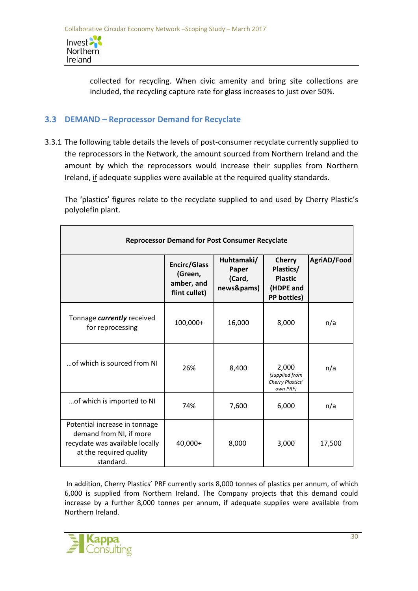Invest<sup>2</sup> Northern Ireland

> collected for recycling. When civic amenity and bring site collections are included, the recycling capture rate for glass increases to just over 50%.

# **3.3 DEMAND – Reprocessor Demand for Recyclate**

3.3.1 The following table details the levels of post-consumer recyclate currently supplied to the reprocessors in the Network, the amount sourced from Northern Ireland and the amount by which the reprocessors would increase their supplies from Northern Ireland, if adequate supplies were available at the required quality standards.

The 'plastics' figures relate to the recyclate supplied to and used by Cherry Plastic's polyolefin plant.

| <b>Reprocessor Demand for Post Consumer Recyclate</b>                                                                               |                                                               |                                             |                                                                          |             |  |  |
|-------------------------------------------------------------------------------------------------------------------------------------|---------------------------------------------------------------|---------------------------------------------|--------------------------------------------------------------------------|-------------|--|--|
|                                                                                                                                     | <b>Encirc/Glass</b><br>(Green,<br>amber, and<br>flint cullet) | Huhtamaki/<br>Paper<br>(Card,<br>news&pams) | <b>Cherry</b><br>Plastics/<br><b>Plastic</b><br>(HDPE and<br>PP bottles) | AgriAD/Food |  |  |
| Tonnage currently received<br>for reprocessing                                                                                      | 100,000+                                                      | 16,000                                      | 8,000                                                                    | n/a         |  |  |
| of which is sourced from NI                                                                                                         | 26%                                                           | 8,400                                       | 2,000<br>(supplied from<br>Cherry Plastics'<br>own PRF)                  | n/a         |  |  |
| of which is imported to NI                                                                                                          | 74%                                                           | 7,600                                       | 6,000                                                                    | n/a         |  |  |
| Potential increase in tonnage<br>demand from NI, if more<br>recyclate was available locally<br>at the required quality<br>standard. | 40,000+                                                       | 8,000                                       | 3,000                                                                    | 17,500      |  |  |

In addition, Cherry Plastics' PRF currently sorts 8,000 tonnes of plastics per annum, of which 6,000 is supplied from Northern Ireland. The Company projects that this demand could increase by a further 8,000 tonnes per annum, if adequate supplies were available from Northern Ireland.

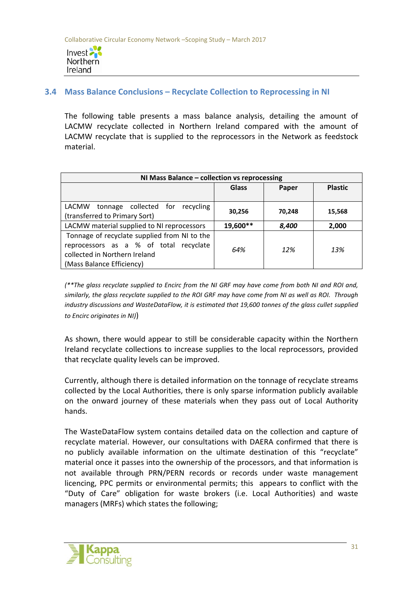

# **3.4 Mass Balance Conclusions – Recyclate Collection to Reprocessing in NI**

The following table presents a mass balance analysis, detailing the amount of LACMW recyclate collected in Northern Ireland compared with the amount of LACMW recyclate that is supplied to the reprocessors in the Network as feedstock material.

| NI Mass Balance - collection vs reprocessing                                                                                                         |              |        |                |  |
|------------------------------------------------------------------------------------------------------------------------------------------------------|--------------|--------|----------------|--|
|                                                                                                                                                      | <b>Glass</b> | Paper  | <b>Plastic</b> |  |
| tonnage collected for recycling<br>LACMW                                                                                                             |              |        |                |  |
| (transferred to Primary Sort)                                                                                                                        | 30,256       | 70,248 | 15,568         |  |
| LACMW material supplied to NI reprocessors                                                                                                           | 19,600**     | 8,400  | 2,000          |  |
| Tonnage of recyclate supplied from NI to the<br>reprocessors as a % of total recyclate<br>collected in Northern Ireland<br>(Mass Balance Efficiency) | 64%          | 12%    | 13%            |  |

*(\*\*The glass recyclate supplied to Encirc from the NI GRF may have come from both NI and ROI and, similarly, the glass recyclate supplied to the ROI GRF may have come from NI as well as ROI. Through industry discussions and WasteDataFlow, it is estimated that 19,600 tonnes of the glass cullet supplied to Encirc originates in NI)*)

As shown, there would appear to still be considerable capacity within the Northern Ireland recyclate collections to increase supplies to the local reprocessors, provided that recyclate quality levels can be improved.

Currently, although there is detailed information on the tonnage of recyclate streams collected by the Local Authorities, there is only sparse information publicly available on the onward journey of these materials when they pass out of Local Authority hands.

The WasteDataFlow system contains detailed data on the collection and capture of recyclate material. However, our consultations with DAERA confirmed that there is no publicly available information on the ultimate destination of this "recyclate" material once it passes into the ownership of the processors, and that information is not available through PRN/PERN records or records under waste management licencing, PPC permits or environmental permits; this appears to conflict with the "Duty of Care" obligation for waste brokers (i.e. Local Authorities) and waste managers (MRFs) which states the following;

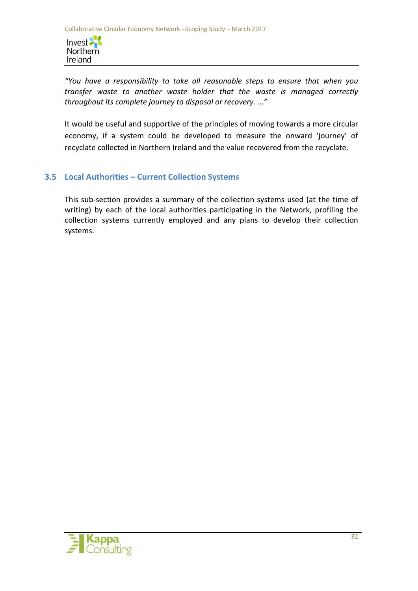Invest Northern Ireland

*"You have a responsibility to take all reasonable steps to ensure that when you transfer waste to another waste holder that the waste is managed correctly throughout its complete journey to disposal or recovery. ..."*

It would be useful and supportive of the principles of moving towards a more circular economy, if a system could be developed to measure the onward 'journey' of recyclate collected in Northern Ireland and the value recovered from the recyclate.

# **3.5 Local Authorities – Current Collection Systems**

This sub-section provides a summary of the collection systems used (at the time of writing) by each of the local authorities participating in the Network, profiling the collection systems currently employed and any plans to develop their collection systems.

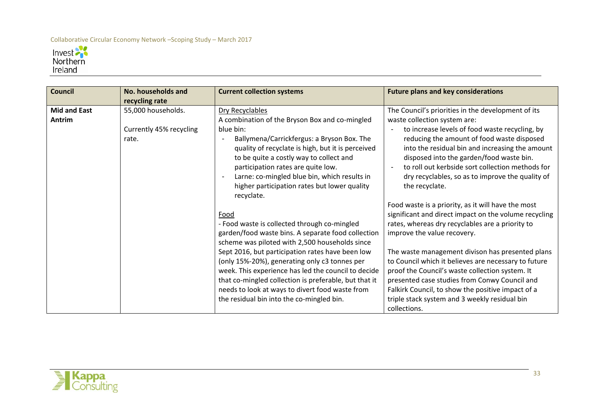

| <b>Council</b>                | No. households and<br>recycling rate                   | <b>Current collection systems</b>                                                                                                                                                                                                                                                                                                                                                                                                                                                 | <b>Future plans and key considerations</b>                                                                                                                                                                                                                                                                                                                                                                                                                                                                                           |
|-------------------------------|--------------------------------------------------------|-----------------------------------------------------------------------------------------------------------------------------------------------------------------------------------------------------------------------------------------------------------------------------------------------------------------------------------------------------------------------------------------------------------------------------------------------------------------------------------|--------------------------------------------------------------------------------------------------------------------------------------------------------------------------------------------------------------------------------------------------------------------------------------------------------------------------------------------------------------------------------------------------------------------------------------------------------------------------------------------------------------------------------------|
| <b>Mid and East</b><br>Antrim | 55,000 households.<br>Currently 45% recycling<br>rate. | Dry Recyclables<br>A combination of the Bryson Box and co-mingled<br>blue bin:<br>Ballymena/Carrickfergus: a Bryson Box. The<br>quality of recyclate is high, but it is perceived<br>to be quite a costly way to collect and<br>participation rates are quite low.<br>Larne: co-mingled blue bin, which results in<br>higher participation rates but lower quality<br>recyclate.                                                                                                  | The Council's priorities in the development of its<br>waste collection system are:<br>to increase levels of food waste recycling, by<br>reducing the amount of food waste disposed<br>into the residual bin and increasing the amount<br>disposed into the garden/food waste bin.<br>to roll out kerbside sort collection methods for<br>dry recyclables, so as to improve the quality of<br>the recyclate.                                                                                                                          |
|                               |                                                        | Food<br>- Food waste is collected through co-mingled<br>garden/food waste bins. A separate food collection<br>scheme was piloted with 2,500 households since<br>Sept 2016, but participation rates have been low<br>(only 15%-20%), generating only c3 tonnes per<br>week. This experience has led the council to decide<br>that co-mingled collection is preferable, but that it<br>needs to look at ways to divert food waste from<br>the residual bin into the co-mingled bin. | Food waste is a priority, as it will have the most<br>significant and direct impact on the volume recycling<br>rates, whereas dry recyclables are a priority to<br>improve the value recovery.<br>The waste management divison has presented plans<br>to Council which it believes are necessary to future<br>proof the Council's waste collection system. It<br>presented case studies from Conwy Council and<br>Falkirk Council, to show the positive impact of a<br>triple stack system and 3 weekly residual bin<br>collections. |

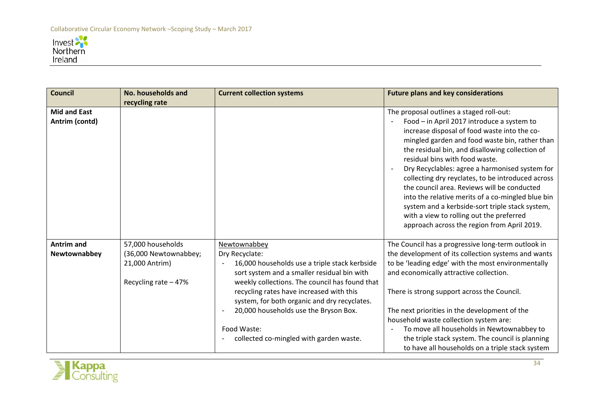

| <b>Council</b>                        | No. households and    | <b>Current collection systems</b>                                                             | <b>Future plans and key considerations</b>                                                                                                                                                                                                                                                                                                                                                                                                                                                                                                                                                                                             |
|---------------------------------------|-----------------------|-----------------------------------------------------------------------------------------------|----------------------------------------------------------------------------------------------------------------------------------------------------------------------------------------------------------------------------------------------------------------------------------------------------------------------------------------------------------------------------------------------------------------------------------------------------------------------------------------------------------------------------------------------------------------------------------------------------------------------------------------|
|                                       | recycling rate        |                                                                                               |                                                                                                                                                                                                                                                                                                                                                                                                                                                                                                                                                                                                                                        |
| <b>Mid and East</b><br>Antrim (contd) |                       |                                                                                               | The proposal outlines a staged roll-out:<br>Food - in April 2017 introduce a system to<br>increase disposal of food waste into the co-<br>mingled garden and food waste bin, rather than<br>the residual bin, and disallowing collection of<br>residual bins with food waste.<br>Dry Recyclables: agree a harmonised system for<br>collecting dry reyclates, to be introduced across<br>the council area. Reviews will be conducted<br>into the relative merits of a co-mingled blue bin<br>system and a kerbside-sort triple stack system,<br>with a view to rolling out the preferred<br>approach across the region from April 2019. |
| <b>Antrim and</b>                     | 57,000 households     | Newtownabbey                                                                                  | The Council has a progressive long-term outlook in                                                                                                                                                                                                                                                                                                                                                                                                                                                                                                                                                                                     |
| Newtownabbey                          | (36,000 Newtownabbey; | Dry Recyclate:                                                                                | the development of its collection systems and wants                                                                                                                                                                                                                                                                                                                                                                                                                                                                                                                                                                                    |
|                                       | 21,000 Antrim)        | 16,000 households use a triple stack kerbside                                                 | to be 'leading edge' with the most environmentally                                                                                                                                                                                                                                                                                                                                                                                                                                                                                                                                                                                     |
|                                       | Recycling rate - 47%  | sort system and a smaller residual bin with<br>weekly collections. The council has found that | and economically attractive collection.                                                                                                                                                                                                                                                                                                                                                                                                                                                                                                                                                                                                |
|                                       |                       | recycling rates have increased with this<br>system, for both organic and dry recyclates.      | There is strong support across the Council.                                                                                                                                                                                                                                                                                                                                                                                                                                                                                                                                                                                            |
|                                       |                       | 20,000 households use the Bryson Box.                                                         | The next priorities in the development of the                                                                                                                                                                                                                                                                                                                                                                                                                                                                                                                                                                                          |
|                                       |                       |                                                                                               | household waste collection system are:                                                                                                                                                                                                                                                                                                                                                                                                                                                                                                                                                                                                 |
|                                       |                       | Food Waste:                                                                                   | To move all households in Newtownabbey to                                                                                                                                                                                                                                                                                                                                                                                                                                                                                                                                                                                              |
|                                       |                       | collected co-mingled with garden waste.                                                       | the triple stack system. The council is planning                                                                                                                                                                                                                                                                                                                                                                                                                                                                                                                                                                                       |
|                                       |                       |                                                                                               | to have all households on a triple stack system                                                                                                                                                                                                                                                                                                                                                                                                                                                                                                                                                                                        |

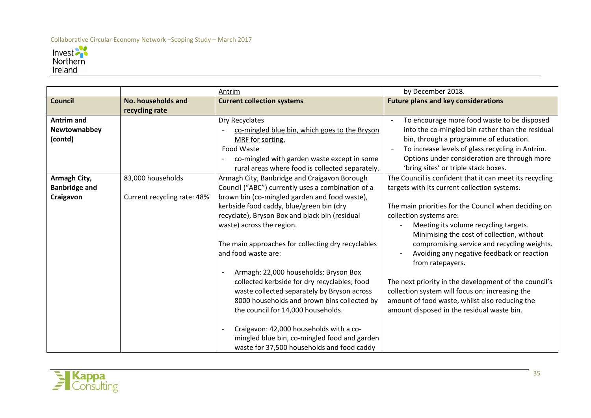

|                      |                             | Antrim                                             | by December 2018.                                                                         |
|----------------------|-----------------------------|----------------------------------------------------|-------------------------------------------------------------------------------------------|
| <b>Council</b>       | <b>No. households and</b>   | <b>Current collection systems</b>                  | <b>Future plans and key considerations</b>                                                |
|                      | recycling rate              |                                                    |                                                                                           |
| <b>Antrim and</b>    |                             | Dry Recyclates                                     | To encourage more food waste to be disposed                                               |
| Newtownabbey         |                             | co-mingled blue bin, which goes to the Bryson      | into the co-mingled bin rather than the residual                                          |
| (contd)              |                             | MRF for sorting.                                   | bin, through a programme of education.                                                    |
|                      |                             | Food Waste                                         | To increase levels of glass recycling in Antrim.                                          |
|                      |                             | co-mingled with garden waste except in some        | Options under consideration are through more                                              |
|                      |                             | rural areas where food is collected separately.    | 'bring sites' or triple stack boxes.                                                      |
| Armagh City,         | 83,000 households           | Armagh City, Banbridge and Craigavon Borough       | The Council is confident that it can meet its recycling                                   |
| <b>Banbridge and</b> |                             | Council ("ABC") currently uses a combination of a  | targets with its current collection systems.                                              |
| Craigavon            | Current recycling rate: 48% | brown bin (co-mingled garden and food waste),      |                                                                                           |
|                      |                             | kerbside food caddy, blue/green bin (dry           | The main priorities for the Council when deciding on                                      |
|                      |                             | recyclate), Bryson Box and black bin (residual     | collection systems are:                                                                   |
|                      |                             | waste) across the region.                          | Meeting its volume recycling targets.                                                     |
|                      |                             | The main approaches for collecting dry recyclables | Minimising the cost of collection, without<br>compromising service and recycling weights. |
|                      |                             | and food waste are:                                | Avoiding any negative feedback or reaction                                                |
|                      |                             |                                                    | from ratepayers.                                                                          |
|                      |                             | Armagh: 22,000 households; Bryson Box              |                                                                                           |
|                      |                             | collected kerbside for dry recyclables; food       | The next priority in the development of the council's                                     |
|                      |                             | waste collected separately by Bryson across        | collection system will focus on: increasing the                                           |
|                      |                             | 8000 households and brown bins collected by        | amount of food waste, whilst also reducing the                                            |
|                      |                             | the council for 14,000 households.                 | amount disposed in the residual waste bin.                                                |
|                      |                             |                                                    |                                                                                           |
|                      |                             | Craigavon: 42,000 households with a co-            |                                                                                           |
|                      |                             | mingled blue bin, co-mingled food and garden       |                                                                                           |
|                      |                             | waste for 37,500 households and food caddy         |                                                                                           |

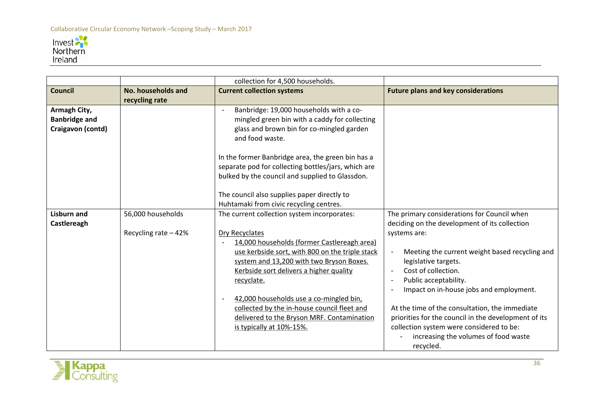

|                                                           |                                            | collection for 4,500 households.                                                                                                                                                                                                                                                                                                                                                                                                         |                                                                                                                                                                                                                                                                                                                                                                                                                                                                                                                          |
|-----------------------------------------------------------|--------------------------------------------|------------------------------------------------------------------------------------------------------------------------------------------------------------------------------------------------------------------------------------------------------------------------------------------------------------------------------------------------------------------------------------------------------------------------------------------|--------------------------------------------------------------------------------------------------------------------------------------------------------------------------------------------------------------------------------------------------------------------------------------------------------------------------------------------------------------------------------------------------------------------------------------------------------------------------------------------------------------------------|
| <b>Council</b>                                            | No. households and<br>recycling rate       | <b>Current collection systems</b>                                                                                                                                                                                                                                                                                                                                                                                                        | <b>Future plans and key considerations</b>                                                                                                                                                                                                                                                                                                                                                                                                                                                                               |
| Armagh City,<br><b>Banbridge and</b><br>Craigavon (contd) |                                            | Banbridge: 19,000 households with a co-<br>mingled green bin with a caddy for collecting<br>glass and brown bin for co-mingled garden<br>and food waste.<br>In the former Banbridge area, the green bin has a                                                                                                                                                                                                                            |                                                                                                                                                                                                                                                                                                                                                                                                                                                                                                                          |
|                                                           |                                            | separate pod for collecting bottles/jars, which are<br>bulked by the council and supplied to Glassdon.<br>The council also supplies paper directly to<br>Huhtamaki from civic recycling centres.                                                                                                                                                                                                                                         |                                                                                                                                                                                                                                                                                                                                                                                                                                                                                                                          |
| <b>Lisburn and</b><br>Castlereagh                         | 56,000 households<br>Recycling rate $-42%$ | The current collection system incorporates:<br>Dry Recyclates<br>14,000 households (former Castlereagh area)<br>use kerbside sort, with 800 on the triple stack<br>system and 13,200 with two Bryson Boxes.<br>Kerbside sort delivers a higher quality<br>recyclate.<br>42,000 households use a co-mingled bin,<br>collected by the in-house council fleet and<br>delivered to the Bryson MRF. Contamination<br>is typically at 10%-15%. | The primary considerations for Council when<br>deciding on the development of its collection<br>systems are:<br>Meeting the current weight based recycling and<br>legislative targets.<br>Cost of collection.<br>Public acceptability.<br>$\overline{\phantom{a}}$<br>Impact on in-house jobs and employment.<br>At the time of the consultation, the immediate<br>priorities for the council in the development of its<br>collection system were considered to be:<br>increasing the volumes of food waste<br>recycled. |

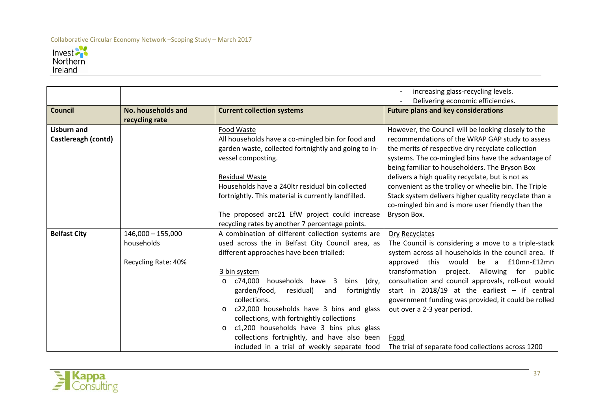

|                                           |                                                          |                                                                                                                                                                                                                                                                                                                                                                                                | increasing glass-recycling levels.<br>Delivering economic efficiencies.                                                                                                                                                                                                                                                                                                                                                                                                                                      |
|-------------------------------------------|----------------------------------------------------------|------------------------------------------------------------------------------------------------------------------------------------------------------------------------------------------------------------------------------------------------------------------------------------------------------------------------------------------------------------------------------------------------|--------------------------------------------------------------------------------------------------------------------------------------------------------------------------------------------------------------------------------------------------------------------------------------------------------------------------------------------------------------------------------------------------------------------------------------------------------------------------------------------------------------|
| <b>Council</b>                            | No. households and<br>recycling rate                     | <b>Current collection systems</b>                                                                                                                                                                                                                                                                                                                                                              | <b>Future plans and key considerations</b>                                                                                                                                                                                                                                                                                                                                                                                                                                                                   |
| <b>Lisburn and</b><br>Castlereagh (contd) |                                                          | Food Waste<br>All households have a co-mingled bin for food and<br>garden waste, collected fortnightly and going to in-<br>vessel composting.<br><b>Residual Waste</b><br>Households have a 240ltr residual bin collected<br>fortnightly. This material is currently landfilled.<br>The proposed arc21 EfW project could increase                                                              | However, the Council will be looking closely to the<br>recommendations of the WRAP GAP study to assess<br>the merits of respective dry recyclate collection<br>systems. The co-mingled bins have the advantage of<br>being familiar to householders. The Bryson Box<br>delivers a high quality recyclate, but is not as<br>convenient as the trolley or wheelie bin. The Triple<br>Stack system delivers higher quality recyclate than a<br>co-mingled bin and is more user friendly than the<br>Bryson Box. |
|                                           |                                                          | recycling rates by another 7 percentage points.                                                                                                                                                                                                                                                                                                                                                |                                                                                                                                                                                                                                                                                                                                                                                                                                                                                                              |
| <b>Belfast City</b>                       | $146,000 - 155,000$<br>households<br>Recycling Rate: 40% | A combination of different collection systems are<br>used across the in Belfast City Council area, as<br>different approaches have been trialled:                                                                                                                                                                                                                                              | <b>Dry Recyclates</b><br>The Council is considering a move to a triple-stack<br>system across all households in the council area. If<br>approved this would be a £10mn-£12mn                                                                                                                                                                                                                                                                                                                                 |
|                                           |                                                          | 3 bin system<br>c74,000 households have 3<br>bins (dry,<br>$\circ$<br>garden/food,<br>residual)<br>fortnightly<br>and<br>collections.<br>c22,000 households have 3 bins and glass<br>$\circ$<br>collections, with fortnightly collections<br>c1,200 households have 3 bins plus glass<br>$\circ$<br>collections fortnightly, and have also been<br>included in a trial of weekly separate food | transformation<br>project. Allowing for public<br>consultation and council approvals, roll-out would<br>start in 2018/19 at the earliest $-$ if central<br>government funding was provided, it could be rolled<br>out over a 2-3 year period.<br>Food<br>The trial of separate food collections across 1200                                                                                                                                                                                                  |

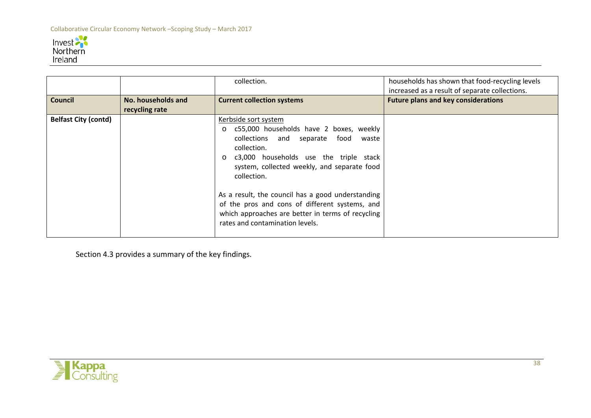

|                             |                                      | collection.                                                                                                                                                                                                                                                                                                                                                                                                                                        | households has shown that food-recycling levels<br>increased as a result of separate collections. |
|-----------------------------|--------------------------------------|----------------------------------------------------------------------------------------------------------------------------------------------------------------------------------------------------------------------------------------------------------------------------------------------------------------------------------------------------------------------------------------------------------------------------------------------------|---------------------------------------------------------------------------------------------------|
| <b>Council</b>              | No. households and<br>recycling rate | <b>Current collection systems</b>                                                                                                                                                                                                                                                                                                                                                                                                                  | <b>Future plans and key considerations</b>                                                        |
| <b>Belfast City (contd)</b> |                                      | Kerbside sort system<br>c55,000 households have 2 boxes, weekly<br>$\circ$<br>collections and separate food waste<br>collection.<br>c3,000 households use the triple stack<br>$\circ$<br>system, collected weekly, and separate food<br>collection.<br>As a result, the council has a good understanding<br>of the pros and cons of different systems, and<br>which approaches are better in terms of recycling<br>rates and contamination levels. |                                                                                                   |

Section 4.3 provides a summary of the key findings.

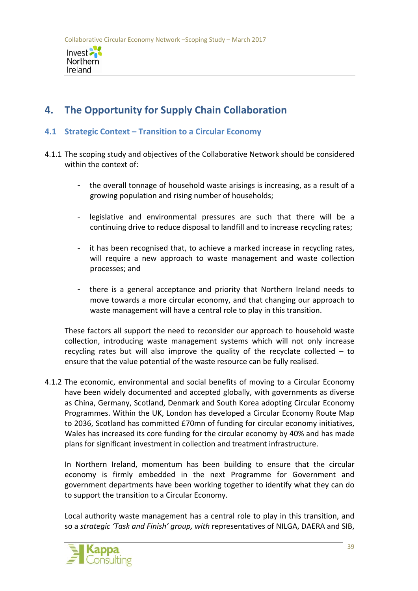

# **4. The Opportunity for Supply Chain Collaboration**

# **4.1 Strategic Context – Transition to a Circular Economy**

- 4.1.1 The scoping study and objectives of the Collaborative Network should be considered within the context of:
	- the overall tonnage of household waste arisings is increasing, as a result of a growing population and rising number of households;
	- legislative and environmental pressures are such that there will be a continuing drive to reduce disposal to landfill and to increase recycling rates;
	- it has been recognised that, to achieve a marked increase in recycling rates, will require a new approach to waste management and waste collection processes; and
	- there is a general acceptance and priority that Northern Ireland needs to move towards a more circular economy, and that changing our approach to waste management will have a central role to play in this transition.

These factors all support the need to reconsider our approach to household waste collection, introducing waste management systems which will not only increase recycling rates but will also improve the quality of the recyclate collected  $-$  to ensure that the value potential of the waste resource can be fully realised.

4.1.2 The economic, environmental and social benefits of moving to a Circular Economy have been widely documented and accepted globally, with governments as diverse as China, Germany, Scotland, Denmark and South Korea adopting Circular Economy Programmes. Within the UK, London has developed a Circular Economy Route Map to 2036, Scotland has committed £70mn of funding for circular economy initiatives, Wales has increased its core funding for the circular economy by 40% and has made plans for significant investment in collection and treatment infrastructure.

In Northern Ireland, momentum has been building to ensure that the circular economy is firmly embedded in the next Programme for Government and government departments have been working together to identify what they can do to support the transition to a Circular Economy.

Local authority waste management has a central role to play in this transition, and so a *strategic 'Task and Finish' group, with* representatives of NILGA, DAERA and SIB,

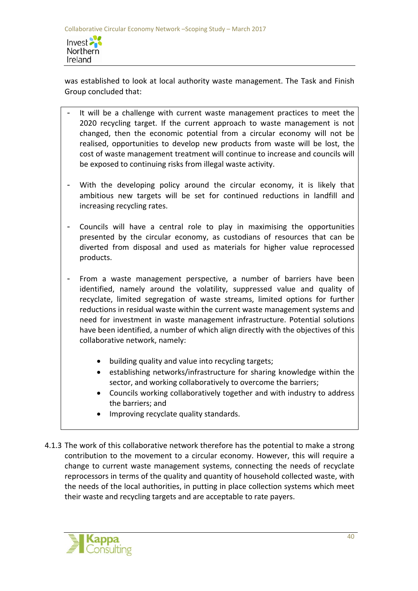

was established to look at local authority waste management. The Task and Finish Group concluded that:

- It will be a challenge with current waste management practices to meet the 2020 recycling target. If the current approach to waste management is not changed, then the economic potential from a circular economy will not be realised, opportunities to develop new products from waste will be lost, the cost of waste management treatment will continue to increase and councils will be exposed to continuing risks from illegal waste activity.
- With the developing policy around the circular economy, it is likely that ambitious new targets will be set for continued reductions in landfill and increasing recycling rates.
- Councils will have a central role to play in maximising the opportunities presented by the circular economy, as custodians of resources that can be diverted from disposal and used as materials for higher value reprocessed products.
- From a waste management perspective, a number of barriers have been identified, namely around the volatility, suppressed value and quality of recyclate, limited segregation of waste streams, limited options for further reductions in residual waste within the current waste management systems and need for investment in waste management infrastructure. Potential solutions have been identified, a number of which align directly with the objectives of this collaborative network, namely:
	- building quality and value into recycling targets;
	- establishing networks/infrastructure for sharing knowledge within the sector, and working collaboratively to overcome the barriers;
	- Councils working collaboratively together and with industry to address the barriers; and
	- Improving recyclate quality standards.
- 4.1.3 The work of this collaborative network therefore has the potential to make a strong contribution to the movement to a circular economy. However, this will require a change to current waste management systems, connecting the needs of recyclate reprocessors in terms of the quality and quantity of household collected waste, with the needs of the local authorities, in putting in place collection systems which meet their waste and recycling targets and are acceptable to rate payers.

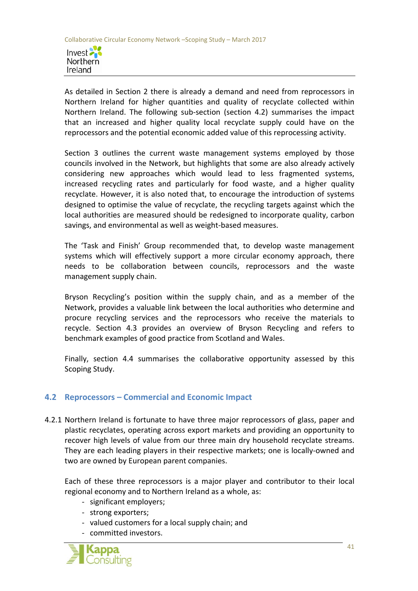

As detailed in Section 2 there is already a demand and need from reprocessors in Northern Ireland for higher quantities and quality of recyclate collected within Northern Ireland. The following sub-section (section 4.2) summarises the impact that an increased and higher quality local recyclate supply could have on the reprocessors and the potential economic added value of this reprocessing activity.

Section 3 outlines the current waste management systems employed by those councils involved in the Network, but highlights that some are also already actively considering new approaches which would lead to less fragmented systems, increased recycling rates and particularly for food waste, and a higher quality recyclate. However, it is also noted that, to encourage the introduction of systems designed to optimise the value of recyclate, the recycling targets against which the local authorities are measured should be redesigned to incorporate quality, carbon savings, and environmental as well as weight-based measures.

The 'Task and Finish' Group recommended that, to develop waste management systems which will effectively support a more circular economy approach, there needs to be collaboration between councils, reprocessors and the waste management supply chain.

Bryson Recycling's position within the supply chain, and as a member of the Network, provides a valuable link between the local authorities who determine and procure recycling services and the reprocessors who receive the materials to recycle. Section 4.3 provides an overview of Bryson Recycling and refers to benchmark examples of good practice from Scotland and Wales.

Finally, section 4.4 summarises the collaborative opportunity assessed by this Scoping Study.

# **4.2 Reprocessors – Commercial and Economic Impact**

4.2.1 Northern Ireland is fortunate to have three major reprocessors of glass, paper and plastic recyclates, operating across export markets and providing an opportunity to recover high levels of value from our three main dry household recyclate streams. They are each leading players in their respective markets; one is locally-owned and two are owned by European parent companies.

Each of these three reprocessors is a major player and contributor to their local regional economy and to Northern Ireland as a whole, as:

- significant employers;
- strong exporters;
- valued customers for a local supply chain; and
- committed investors.

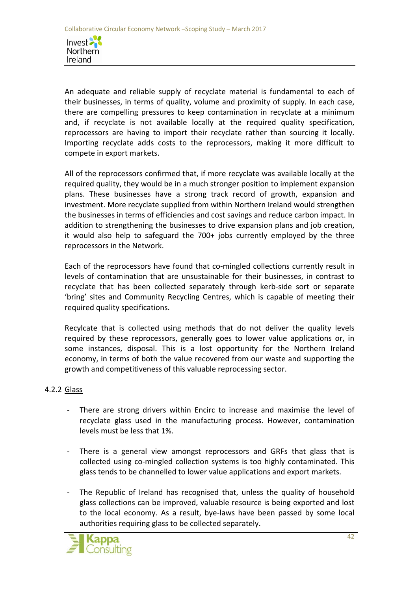

An adequate and reliable supply of recyclate material is fundamental to each of their businesses, in terms of quality, volume and proximity of supply. In each case, there are compelling pressures to keep contamination in recyclate at a minimum and, if recyclate is not available locally at the required quality specification, reprocessors are having to import their recyclate rather than sourcing it locally. Importing recyclate adds costs to the reprocessors, making it more difficult to compete in export markets.

All of the reprocessors confirmed that, if more recyclate was available locally at the required quality, they would be in a much stronger position to implement expansion plans. These businesses have a strong track record of growth, expansion and investment. More recyclate supplied from within Northern Ireland would strengthen the businesses in terms of efficiencies and cost savings and reduce carbon impact. In addition to strengthening the businesses to drive expansion plans and job creation, it would also help to safeguard the 700+ jobs currently employed by the three reprocessors in the Network.

Each of the reprocessors have found that co-mingled collections currently result in levels of contamination that are unsustainable for their businesses, in contrast to recyclate that has been collected separately through kerb-side sort or separate 'bring' sites and Community Recycling Centres, which is capable of meeting their required quality specifications.

Recylcate that is collected using methods that do not deliver the quality levels required by these reprocessors, generally goes to lower value applications or, in some instances, disposal. This is a lost opportunity for the Northern Ireland economy, in terms of both the value recovered from our waste and supporting the growth and competitiveness of this valuable reprocessing sector.

# 4.2.2 Glass

- There are strong drivers within Encirc to increase and maximise the level of recyclate glass used in the manufacturing process. However, contamination levels must be less that 1%.
- There is a general view amongst reprocessors and GRFs that glass that is collected using co-mingled collection systems is too highly contaminated. This glass tends to be channelled to lower value applications and export markets.
- The Republic of Ireland has recognised that, unless the quality of household glass collections can be improved, valuable resource is being exported and lost to the local economy. As a result, bye-laws have been passed by some local authorities requiring glass to be collected separately.

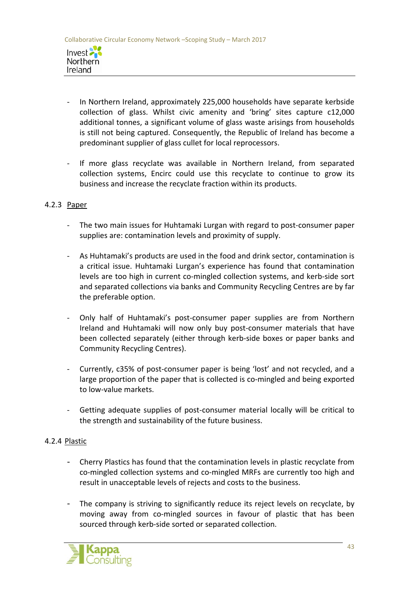

- In Northern Ireland, approximately 225,000 households have separate kerbside collection of glass. Whilst civic amenity and 'bring' sites capture c12,000 additional tonnes, a significant volume of glass waste arisings from households is still not being captured. Consequently, the Republic of Ireland has become a predominant supplier of glass cullet for local reprocessors.
- If more glass recyclate was available in Northern Ireland, from separated collection systems, Encirc could use this recyclate to continue to grow its business and increase the recyclate fraction within its products.

#### 4.2.3 Paper

- The two main issues for Huhtamaki Lurgan with regard to post-consumer paper supplies are: contamination levels and proximity of supply.
- As Huhtamaki's products are used in the food and drink sector, contamination is a critical issue. Huhtamaki Lurgan's experience has found that contamination levels are too high in current co-mingled collection systems, and kerb-side sort and separated collections via banks and Community Recycling Centres are by far the preferable option.
- Only half of Huhtamaki's post-consumer paper supplies are from Northern Ireland and Huhtamaki will now only buy post-consumer materials that have been collected separately (either through kerb-side boxes or paper banks and Community Recycling Centres).
- Currently, c35% of post-consumer paper is being 'lost' and not recycled, and a large proportion of the paper that is collected is co-mingled and being exported to low-value markets.
- Getting adequate supplies of post-consumer material locally will be critical to the strength and sustainability of the future business.

#### 4.2.4 Plastic

- Cherry Plastics has found that the contamination levels in plastic recyclate from co-mingled collection systems and co-mingled MRFs are currently too high and result in unacceptable levels of rejects and costs to the business.
- The company is striving to significantly reduce its reject levels on recyclate, by moving away from co-mingled sources in favour of plastic that has been sourced through kerb-side sorted or separated collection.

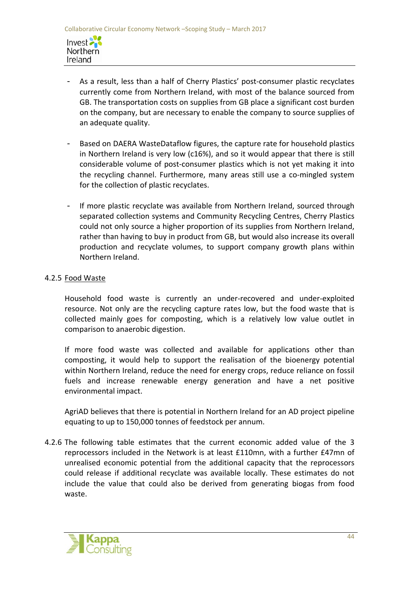Invest Northern Ireland

- As a result, less than a half of Cherry Plastics' post-consumer plastic recyclates currently come from Northern Ireland, with most of the balance sourced from GB. The transportation costs on supplies from GB place a significant cost burden on the company, but are necessary to enable the company to source supplies of an adequate quality.
- Based on DAERA WasteDataflow figures, the capture rate for household plastics in Northern Ireland is very low (c16%), and so it would appear that there is still considerable volume of post-consumer plastics which is not yet making it into the recycling channel. Furthermore, many areas still use a co-mingled system for the collection of plastic recyclates.
- If more plastic recyclate was available from Northern Ireland, sourced through separated collection systems and Community Recycling Centres, Cherry Plastics could not only source a higher proportion of its supplies from Northern Ireland, rather than having to buy in product from GB, but would also increase its overall production and recyclate volumes, to support company growth plans within Northern Ireland.

# 4.2.5 Food Waste

Household food waste is currently an under-recovered and under-exploited resource. Not only are the recycling capture rates low, but the food waste that is collected mainly goes for composting, which is a relatively low value outlet in comparison to anaerobic digestion.

If more food waste was collected and available for applications other than composting, it would help to support the realisation of the bioenergy potential within Northern Ireland, reduce the need for energy crops, reduce reliance on fossil fuels and increase renewable energy generation and have a net positive environmental impact.

AgriAD believes that there is potential in Northern Ireland for an AD project pipeline equating to up to 150,000 tonnes of feedstock per annum.

4.2.6 The following table estimates that the current economic added value of the 3 reprocessors included in the Network is at least £110mn, with a further £47mn of unrealised economic potential from the additional capacity that the reprocessors could release if additional recyclate was available locally. These estimates do not include the value that could also be derived from generating biogas from food waste.

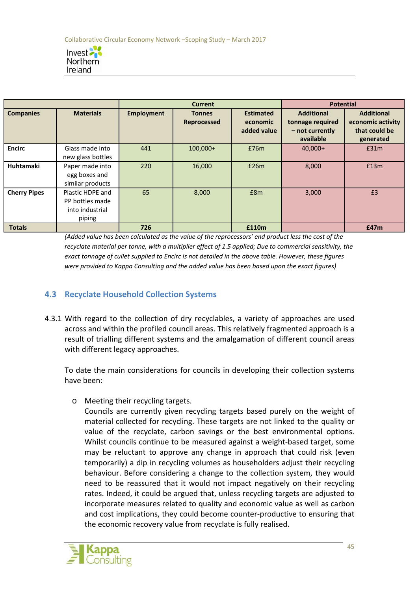

|                     |                                                                  | <b>Current</b>    |                                     | <b>Potential</b>                            |                                                                       |                                                                      |
|---------------------|------------------------------------------------------------------|-------------------|-------------------------------------|---------------------------------------------|-----------------------------------------------------------------------|----------------------------------------------------------------------|
| <b>Companies</b>    | <b>Materials</b>                                                 | <b>Employment</b> | <b>Tonnes</b><br><b>Reprocessed</b> | <b>Estimated</b><br>economic<br>added value | <b>Additional</b><br>tonnage required<br>- not currently<br>available | <b>Additional</b><br>economic activity<br>that could be<br>generated |
| <b>Encirc</b>       | Glass made into<br>new glass bottles                             | 441               | $100,000+$                          | £76m                                        | 40,000+                                                               | £31m                                                                 |
| Huhtamaki           | Paper made into<br>egg boxes and<br>similar products             | 220               | 16,000                              | £26m                                        | 8,000                                                                 | £13m                                                                 |
| <b>Cherry Pipes</b> | Plastic HDPE and<br>PP bottles made<br>into industrial<br>piping | 65                | 8,000                               | £8m                                         | 3,000                                                                 | £3                                                                   |
| <b>Totals</b>       |                                                                  | 726               |                                     | £110m                                       |                                                                       | £47m                                                                 |

*(Added value has been calculated as the value of the reprocessors' end product less the cost of the recyclate material per tonne, with a multiplier effect of 1.5 applied; Due to commercial sensitivity, the exact tonnage of cullet supplied to Encirc is not detailed in the above table. However, these figures were provided to Kappa Consulting and the added value has been based upon the exact figures)*

# **4.3 Recyclate Household Collection Systems**

4.3.1 With regard to the collection of dry recyclables, a variety of approaches are used across and within the profiled council areas. This relatively fragmented approach is a result of trialling different systems and the amalgamation of different council areas with different legacy approaches.

To date the main considerations for councils in developing their collection systems have been:

o Meeting their recycling targets.

Councils are currently given recycling targets based purely on the weight of material collected for recycling. These targets are not linked to the quality or value of the recyclate, carbon savings or the best environmental options. Whilst councils continue to be measured against a weight-based target, some may be reluctant to approve any change in approach that could risk (even temporarily) a dip in recycling volumes as householders adjust their recycling behaviour. Before considering a change to the collection system, they would need to be reassured that it would not impact negatively on their recycling rates. Indeed, it could be argued that, unless recycling targets are adjusted to incorporate measures related to quality and economic value as well as carbon and cost implications, they could become counter-productive to ensuring that the economic recovery value from recyclate is fully realised.

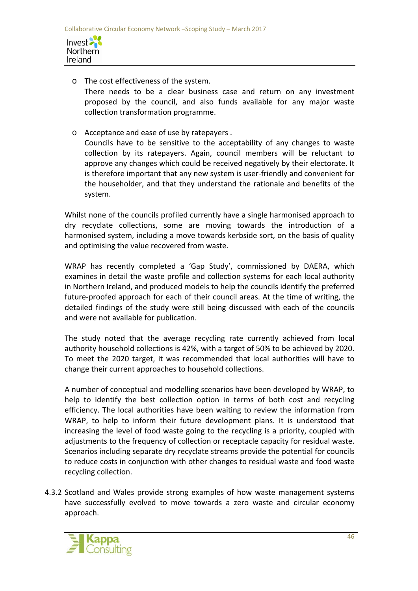

- o The cost effectiveness of the system. There needs to be a clear business case and return on any investment proposed by the council, and also funds available for any major waste collection transformation programme.
- o Acceptance and ease of use by ratepayers .

Councils have to be sensitive to the acceptability of any changes to waste collection by its ratepayers. Again, council members will be reluctant to approve any changes which could be received negatively by their electorate. It is therefore important that any new system is user-friendly and convenient for the householder, and that they understand the rationale and benefits of the system.

Whilst none of the councils profiled currently have a single harmonised approach to dry recyclate collections, some are moving towards the introduction of a harmonised system, including a move towards kerbside sort, on the basis of quality and optimising the value recovered from waste.

WRAP has recently completed a 'Gap Study', commissioned by DAERA, which examines in detail the waste profile and collection systems for each local authority in Northern Ireland, and produced models to help the councils identify the preferred future-proofed approach for each of their council areas. At the time of writing, the detailed findings of the study were still being discussed with each of the councils and were not available for publication.

The study noted that the average recycling rate currently achieved from local authority household collections is 42%, with a target of 50% to be achieved by 2020. To meet the 2020 target, it was recommended that local authorities will have to change their current approaches to household collections.

A number of conceptual and modelling scenarios have been developed by WRAP, to help to identify the best collection option in terms of both cost and recycling efficiency. The local authorities have been waiting to review the information from WRAP, to help to inform their future development plans. It is understood that increasing the level of food waste going to the recycling is a priority, coupled with adjustments to the frequency of collection or receptacle capacity for residual waste. Scenarios including separate dry recyclate streams provide the potential for councils to reduce costs in conjunction with other changes to residual waste and food waste recycling collection.

4.3.2 Scotland and Wales provide strong examples of how waste management systems have successfully evolved to move towards a zero waste and circular economy approach.

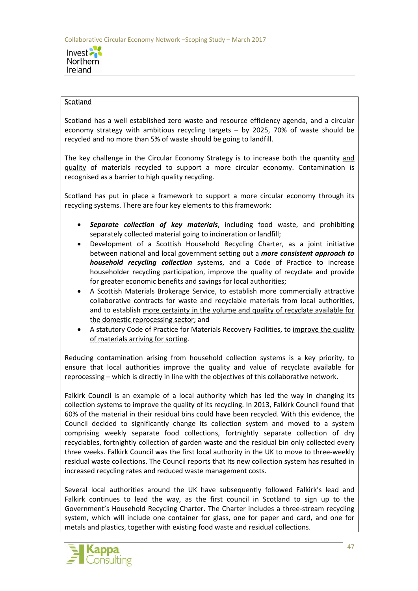

#### **Scotland**

Scotland has a well established zero waste and resource efficiency agenda, and a circular economy strategy with ambitious recycling targets – by 2025, 70% of waste should be recycled and no more than 5% of waste should be going to landfill.

The key challenge in the Circular Economy Strategy is to increase both the quantity and quality of materials recycled to support a more circular economy. Contamination is recognised as a barrier to high quality recycling.

Scotland has put in place a framework to support a more circular economy through its recycling systems. There are four key elements to this framework:

- *Separate collection of key materials*, including food waste, and prohibiting separately collected material going to incineration or landfill;
- Development of a Scottish Household Recycling Charter, as a joint initiative between national and local government setting out a *more consistent approach to household recycling collection* systems, and a Code of Practice to increase householder recycling participation, improve the quality of recyclate and provide for greater economic benefits and savings for local authorities;
- A Scottish Materials Brokerage Service, to establish more commercially attractive collaborative contracts for waste and recyclable materials from local authorities, and to establish more certainty in the volume and quality of recyclate available for the domestic reprocessing sector; and
- A statutory Code of Practice for Materials Recovery Facilities, to improve the quality of materials arriving for sorting.

Reducing contamination arising from household collection systems is a key priority, to ensure that local authorities improve the quality and value of recyclate available for reprocessing – which is directly in line with the objectives of this collaborative network.

Falkirk Council is an example of a local authority which has led the way in changing its collection systems to improve the quality of its recycling. In 2013, Falkirk Council found that 60% of the material in their residual bins could have been recycled. With this evidence, the Council decided to significantly change its collection system and moved to a system comprising weekly separate food collections, fortnightly separate collection of dry recyclables, fortnightly collection of garden waste and the residual bin only collected every three weeks. Falkirk Council was the first local authority in the UK to move to three-weekly residual waste collections. The Council reports that Its new collection system has resulted in increased recycling rates and reduced waste management costs.

Several local authorities around the UK have subsequently followed Falkirk's lead and Falkirk continues to lead the way, as the first council in Scotland to sign up to the Government's Household Recycling Charter. The Charter includes a three-stream recycling system, which will include one container for glass, one for paper and card, and one for metals and plastics, together with existing food waste and residual collections.

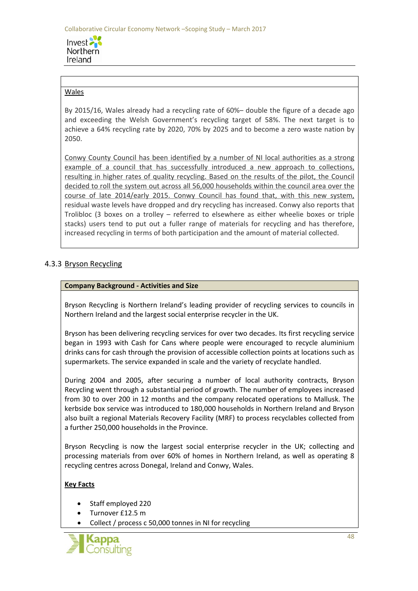Invest 2 **Northern** Ireland

### Wales

By 2015/16, Wales already had a recycling rate of 60%– double the figure of a decade ago and exceeding the Welsh Government's recycling target of 58%. The next target is to achieve a 64% recycling rate by 2020, 70% by 2025 and to become a zero waste nation by 2050.

Conwy County Council has been identified by a number of NI local authorities as a strong example of a council that has successfully introduced a new approach to collections, resulting in higher rates of quality recycling. Based on the results of the pilot, the Council decided to roll the system out across all 56,000 households within the council area over the course of late 2014/early 2015. Conwy Council has found that, with this new system, residual waste levels have dropped and dry recycling has increased. Conwy also reports that Trolibloc (3 boxes on a trolley – referred to elsewhere as either wheelie boxes or triple stacks) users tend to put out a fuller range of materials for recycling and has therefore, increased recycling in terms of both participation and the amount of material collected.

# 4.3.3 Bryson Recycling

#### **Company Background - Activities and Size**

Bryson Recycling is Northern Ireland's leading provider of recycling services to councils in Northern Ireland and the largest social enterprise recycler in the UK.

Bryson has been delivering recycling services for over two decades. Its first recycling service began in 1993 with Cash for Cans where people were encouraged to recycle aluminium drinks cans for cash through the provision of accessible collection points at locations such as supermarkets. The service expanded in scale and the variety of recyclate handled.

During 2004 and 2005, after securing a number of local authority contracts, Bryson Recycling went through a substantial period of growth. The number of employees increased from 30 to over 200 in 12 months and the company relocated operations to Mallusk. The kerbside box service was introduced to 180,000 households in Northern Ireland and Bryson also built a regional Materials Recovery Facility (MRF) to process recyclables collected from a further 250,000 households in the Province.

Bryson Recycling is now the largest social enterprise recycler in the UK; collecting and processing materials from over 60% of homes in Northern Ireland, as well as operating 8 recycling centres across Donegal, Ireland and Conwy, Wales.

#### **Key Facts**

- Staff employed 220
- Turnover £12.5 m
- Collect / process c 50,000 tonnes in NI for recycling

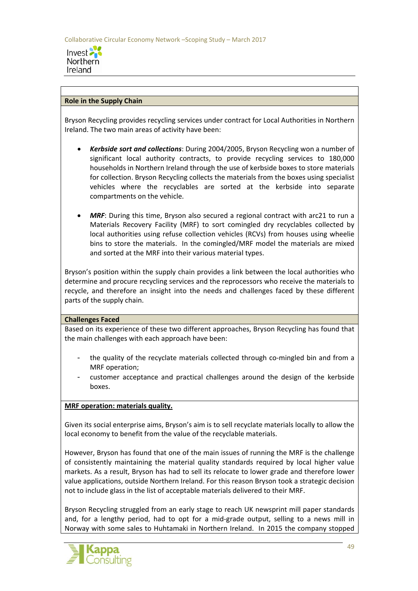

#### **Role in the Supply Chain**

Bryson Recycling provides recycling services under contract for Local Authorities in Northern Ireland. The two main areas of activity have been:

- *Kerbside sort and collections*: During 2004/2005, Bryson Recycling won a number of significant local authority contracts, to provide recycling services to 180,000 households in Northern Ireland through the use of kerbside boxes to store materials for collection. Bryson Recycling collects the materials from the boxes using specialist vehicles where the recyclables are sorted at the kerbside into separate compartments on the vehicle.
- **MRF:** During this time, Bryson also secured a regional contract with arc21 to run a Materials Recovery Facility (MRF) to sort comingled dry recyclables collected by local authorities using refuse collection vehicles (RCVs) from houses using wheelie bins to store the materials. In the comingled/MRF model the materials are mixed and sorted at the MRF into their various material types.

Bryson's position within the supply chain provides a link between the local authorities who determine and procure recycling services and the reprocessors who receive the materials to recycle, and therefore an insight into the needs and challenges faced by these different parts of the supply chain.

#### **Challenges Faced**

Based on its experience of these two different approaches, Bryson Recycling has found that the main challenges with each approach have been:

- the quality of the recyclate materials collected through co-mingled bin and from a MRF operation;
- customer acceptance and practical challenges around the design of the kerbside boxes.

#### **MRF operation: materials quality.**

Given its social enterprise aims, Bryson's aim is to sell recyclate materials locally to allow the local economy to benefit from the value of the recyclable materials.

However, Bryson has found that one of the main issues of running the MRF is the challenge of consistently maintaining the material quality standards required by local higher value markets. As a result, Bryson has had to sell its relocate to lower grade and therefore lower value applications, outside Northern Ireland. For this reason Bryson took a strategic decision not to include glass in the list of acceptable materials delivered to their MRF.

Bryson Recycling struggled from an early stage to reach UK newsprint mill paper standards and, for a lengthy period, had to opt for a mid-grade output, selling to a news mill in Norway with some sales to Huhtamaki in Northern Ireland. In 2015 the company stopped

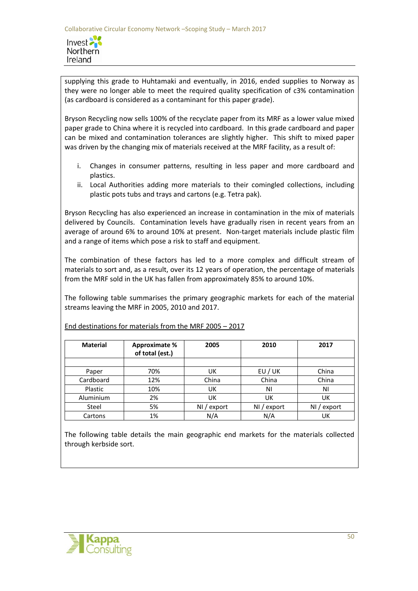Invest<sup>2</sup> **Northern** Ireland

supplying this grade to Huhtamaki and eventually, in 2016, ended supplies to Norway as they were no longer able to meet the required quality specification of c3% contamination (as cardboard is considered as a contaminant for this paper grade).

Bryson Recycling now sells 100% of the recyclate paper from its MRF as a lower value mixed paper grade to China where it is recycled into cardboard. In this grade cardboard and paper can be mixed and contamination tolerances are slightly higher. This shift to mixed paper was driven by the changing mix of materials received at the MRF facility, as a result of:

- i. Changes in consumer patterns, resulting in less paper and more cardboard and plastics.
- ii. Local Authorities adding more materials to their comingled collections, including plastic pots tubs and trays and cartons (e.g. Tetra pak).

Bryson Recycling has also experienced an increase in contamination in the mix of materials delivered by Councils. Contamination levels have gradually risen in recent years from an average of around 6% to around 10% at present. Non-target materials include plastic film and a range of items which pose a risk to staff and equipment.

The combination of these factors has led to a more complex and difficult stream of materials to sort and, as a result, over its 12 years of operation, the percentage of materials from the MRF sold in the UK has fallen from approximately 85% to around 10%.

The following table summarises the primary geographic markets for each of the material streams leaving the MRF in 2005, 2010 and 2017.

| <b>Material</b> | <b>Approximate %</b><br>of total (est.) | 2005          | 2010          | 2017          |
|-----------------|-----------------------------------------|---------------|---------------|---------------|
| Paper           | 70%                                     | UK            | EU / UK       | China         |
| Cardboard       | 12%                                     | China         | China         | China         |
| Plastic         | 10%                                     | UK            | ΝI            | ΝI            |
| Aluminium       | 2%                                      | UK            | UK            | UK            |
| Steel           | 5%                                      | $NI /$ export | $NI /$ export | $NI /$ export |
| Cartons         | 1%                                      | N/A           | N/A           | UK            |

End destinations for materials from the MRF 2005 – 2017

The following table details the main geographic end markets for the materials collected through kerbside sort.

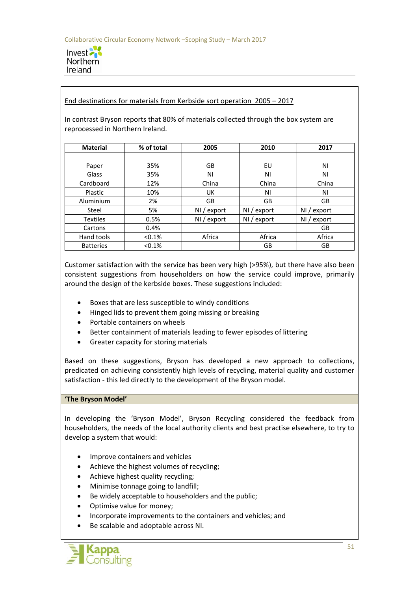

#### End destinations for materials from Kerbside sort operation 2005 – 2017

In contrast Bryson reports that 80% of materials collected through the box system are reprocessed in Northern Ireland.

| <b>Material</b>  | % of total | 2005          | 2010          | 2017          |
|------------------|------------|---------------|---------------|---------------|
|                  |            |               |               |               |
| Paper            | 35%        | GB            | EU            | ΝI            |
| Glass            | 35%        | ΝI            | ΝI            | ΝI            |
| Cardboard        | 12%        | China         | China         | China         |
| Plastic          | 10%        | <b>UK</b>     | ΝI            | ΝI            |
| Aluminium        | 2%         | GB            | GB            | GB            |
| Steel            | 5%         | $NI /$ export | NI / export   | NI / export   |
| <b>Textiles</b>  | 0.5%       | $NI /$ export | $NI /$ export | $NI /$ export |
| Cartons          | 0.4%       |               |               | GB            |
| Hand tools       | < 0.1%     | Africa        | Africa        | Africa        |
| <b>Batteries</b> | < 0.1%     |               | GB            | GB            |

Customer satisfaction with the service has been very high (>95%), but there have also been consistent suggestions from householders on how the service could improve, primarily around the design of the kerbside boxes. These suggestions included:

- Boxes that are less susceptible to windy conditions
- Hinged lids to prevent them going missing or breaking
- Portable containers on wheels
- Better containment of materials leading to fewer episodes of littering
- Greater capacity for storing materials

Based on these suggestions, Bryson has developed a new approach to collections, predicated on achieving consistently high levels of recycling, material quality and customer satisfaction - this led directly to the development of the Bryson model.

#### **'The Bryson Model'**

In developing the 'Bryson Model', Bryson Recycling considered the feedback from householders, the needs of the local authority clients and best practise elsewhere, to try to develop a system that would:

- Improve containers and vehicles
- Achieve the highest volumes of recycling;
- Achieve highest quality recycling;
- Minimise tonnage going to landfill;
- Be widely acceptable to householders and the public:
- Optimise value for money;
- Incorporate improvements to the containers and vehicles; and
- Be scalable and adoptable across NI.

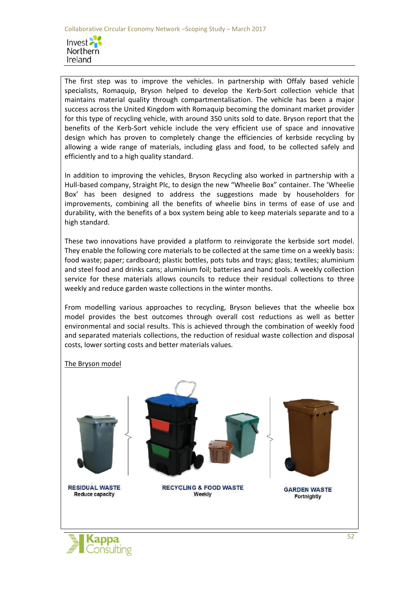

The first step was to improve the vehicles. In partnership with Offaly based vehicle specialists, Romaquip, Bryson helped to develop the Kerb-Sort collection vehicle that maintains material quality through compartmentalisation. The vehicle has been a major success across the United Kingdom with Romaquip becoming the dominant market provider for this type of recycling vehicle, with around 350 units sold to date. Bryson report that the benefits of the Kerb-Sort vehicle include the very efficient use of space and innovative design which has proven to completely change the efficiencies of kerbside recycling by allowing a wide range of materials, including glass and food, to be collected safely and efficiently and to a high quality standard.

In addition to improving the vehicles, Bryson Recycling also worked in partnership with a Hull-based company, Straight Plc, to design the new "Wheelie Box" container. The 'Wheelie Box' has been designed to address the suggestions made by householders for improvements, combining all the benefits of wheelie bins in terms of ease of use and durability, with the benefits of a box system being able to keep materials separate and to a high standard.

These two innovations have provided a platform to reinvigorate the kerbside sort model. They enable the following core materials to be collected at the same time on a weekly basis: food waste; paper; cardboard; plastic bottles, pots tubs and trays; glass; textiles; aluminium and steel food and drinks cans; aluminium foil; batteries and hand tools. A weekly collection service for these materials allows councils to reduce their residual collections to three weekly and reduce garden waste collections in the winter months.

From modelling various approaches to recycling, Bryson believes that the wheelie box model provides the best outcomes through overall cost reductions as well as better environmental and social results. This is achieved through the combination of weekly food and separated materials collections, the reduction of residual waste collection and disposal costs, lower sorting costs and better materials values.

#### The Bryson model



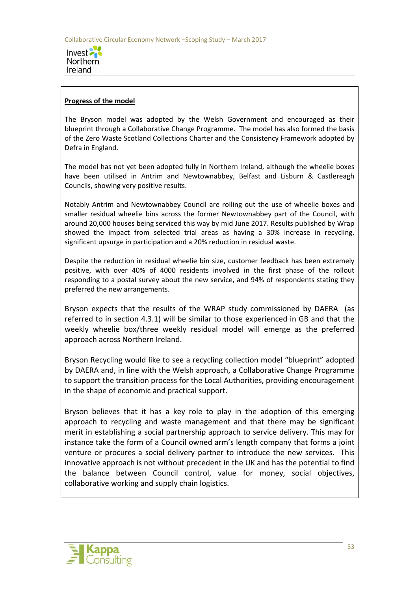

#### **Progress of the model**

The Bryson model was adopted by the Welsh Government and encouraged as their blueprint through a Collaborative Change Programme. The model has also formed the basis of the Zero Waste Scotland Collections Charter and the Consistency Framework adopted by Defra in England.

The model has not yet been adopted fully in Northern Ireland, although the wheelie boxes have been utilised in Antrim and Newtownabbey, Belfast and Lisburn & Castlereagh Councils, showing very positive results.

Notably Antrim and Newtownabbey Council are rolling out the use of wheelie boxes and smaller residual wheelie bins across the former Newtownabbey part of the Council, with around 20,000 houses being serviced this way by mid June 2017. Results published by Wrap showed the impact from selected trial areas as having a 30% increase in recycling, significant upsurge in participation and a 20% reduction in residual waste.

Despite the reduction in residual wheelie bin size, customer feedback has been extremely positive, with over 40% of 4000 residents involved in the first phase of the rollout responding to a postal survey about the new service, and 94% of respondents stating they preferred the new arrangements.

Bryson expects that the results of the WRAP study commissioned by DAERA (as referred to in section 4.3.1) will be similar to those experienced in GB and that the weekly wheelie box/three weekly residual model will emerge as the preferred approach across Northern Ireland.

Bryson Recycling would like to see a recycling collection model "blueprint" adopted by DAERA and, in line with the Welsh approach, a Collaborative Change Programme to support the transition process for the Local Authorities, providing encouragement in the shape of economic and practical support.

Bryson believes that it has a key role to play in the adoption of this emerging approach to recycling and waste management and that there may be significant merit in establishing a social partnership approach to service delivery. This may for instance take the form of a Council owned arm's length company that forms a joint venture or procures a social delivery partner to introduce the new services. This innovative approach is not without precedent in the UK and has the potential to find the balance between Council control, value for money, social objectives, collaborative working and supply chain logistics.

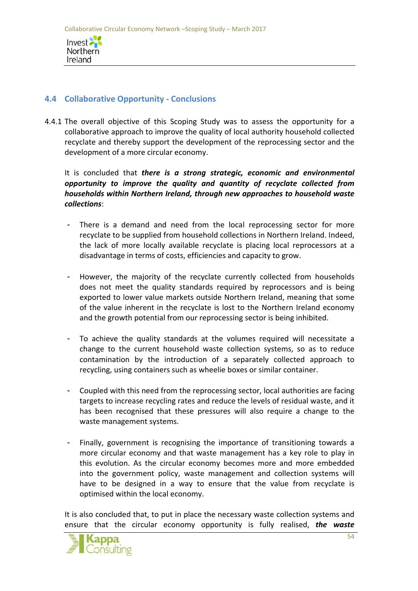

# **4.4 Collaborative Opportunity - Conclusions**

4.4.1 The overall objective of this Scoping Study was to assess the opportunity for a collaborative approach to improve the quality of local authority household collected recyclate and thereby support the development of the reprocessing sector and the development of a more circular economy.

It is concluded that *there is a strong strategic, economic and environmental opportunity to improve the quality and quantity of recyclate collected from households within Northern Ireland, through new approaches to household waste collections*:

- There is a demand and need from the local reprocessing sector for more recyclate to be supplied from household collections in Northern Ireland. Indeed, the lack of more locally available recyclate is placing local reprocessors at a disadvantage in terms of costs, efficiencies and capacity to grow.
- However, the majority of the recyclate currently collected from households does not meet the quality standards required by reprocessors and is being exported to lower value markets outside Northern Ireland, meaning that some of the value inherent in the recyclate is lost to the Northern Ireland economy and the growth potential from our reprocessing sector is being inhibited.
- To achieve the quality standards at the volumes required will necessitate a change to the current household waste collection systems, so as to reduce contamination by the introduction of a separately collected approach to recycling, using containers such as wheelie boxes or similar container.
- Coupled with this need from the reprocessing sector, local authorities are facing targets to increase recycling rates and reduce the levels of residual waste, and it has been recognised that these pressures will also require a change to the waste management systems.
- Finally, government is recognising the importance of transitioning towards a more circular economy and that waste management has a key role to play in this evolution. As the circular economy becomes more and more embedded into the government policy, waste management and collection systems will have to be designed in a way to ensure that the value from recyclate is optimised within the local economy.

It is also concluded that, to put in place the necessary waste collection systems and ensure that the circular economy opportunity is fully realised, *the waste* 

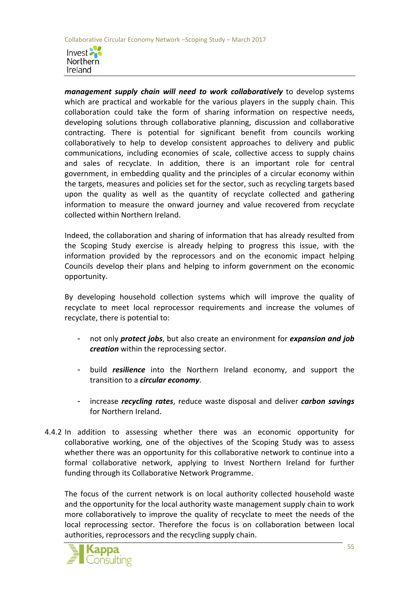

*management supply chain will need to work collaboratively* to develop systems which are practical and workable for the various players in the supply chain. This collaboration could take the form of sharing information on respective needs, developing solutions through collaborative planning, discussion and collaborative contracting. There is potential for significant benefit from councils working collaboratively to help to develop consistent approaches to delivery and public communications, including economies of scale, collective access to supply chains and sales of recyclate. In addition, there is an important role for central government, in embedding quality and the principles of a circular economy within the targets, measures and policies set for the sector, such as recycling targets based upon the quality as well as the quantity of recyclate collected and gathering information to measure the onward journey and value recovered from recyclate collected within Northern Ireland.

Indeed, the collaboration and sharing of information that has already resulted from the Scoping Study exercise is already helping to progress this issue, with the information provided by the reprocessors and on the economic impact helping Councils develop their plans and helping to inform government on the economic opportunity.

By developing household collection systems which will improve the quality of recyclate to meet local reprocessor requirements and increase the volumes of recyclate, there is potential to:

- not only *protect jobs*, but also create an environment for *expansion and job creation* within the reprocessing sector.
- build *resilience* into the Northern Ireland economy, and support the transition to a *circular economy*.
- increase *recycling rates*, reduce waste disposal and deliver *carbon savings* for Northern Ireland.
- 4.4.2 In addition to assessing whether there was an economic opportunity for collaborative working, one of the objectives of the Scoping Study was to assess whether there was an opportunity for this collaborative network to continue into a formal collaborative network, applying to Invest Northern Ireland for further funding through its Collaborative Network Programme.

The focus of the current network is on local authority collected household waste and the opportunity for the local authority waste management supply chain to work more collaboratively to improve the quality of recyclate to meet the needs of the local reprocessing sector. Therefore the focus is on collaboration between local authorities, reprocessors and the recycling supply chain.

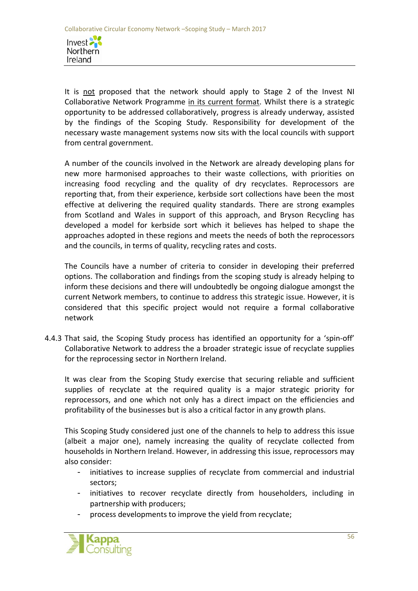Invest Northern Ireland

It is not proposed that the network should apply to Stage 2 of the Invest NI Collaborative Network Programme in its current format. Whilst there is a strategic opportunity to be addressed collaboratively, progress is already underway, assisted by the findings of the Scoping Study. Responsibility for development of the necessary waste management systems now sits with the local councils with support from central government.

A number of the councils involved in the Network are already developing plans for new more harmonised approaches to their waste collections, with priorities on increasing food recycling and the quality of dry recyclates. Reprocessors are reporting that, from their experience, kerbside sort collections have been the most effective at delivering the required quality standards. There are strong examples from Scotland and Wales in support of this approach, and Bryson Recycling has developed a model for kerbside sort which it believes has helped to shape the approaches adopted in these regions and meets the needs of both the reprocessors and the councils, in terms of quality, recycling rates and costs.

The Councils have a number of criteria to consider in developing their preferred options. The collaboration and findings from the scoping study is already helping to inform these decisions and there will undoubtedly be ongoing dialogue amongst the current Network members, to continue to address this strategic issue. However, it is considered that this specific project would not require a formal collaborative network

4.4.3 That said, the Scoping Study process has identified an opportunity for a 'spin-off' Collaborative Network to address the a broader strategic issue of recyclate supplies for the reprocessing sector in Northern Ireland.

It was clear from the Scoping Study exercise that securing reliable and sufficient supplies of recyclate at the required quality is a major strategic priority for reprocessors, and one which not only has a direct impact on the efficiencies and profitability of the businesses but is also a critical factor in any growth plans.

This Scoping Study considered just one of the channels to help to address this issue (albeit a major one), namely increasing the quality of recyclate collected from households in Northern Ireland. However, in addressing this issue, reprocessors may also consider:

- initiatives to increase supplies of recyclate from commercial and industrial sectors;
- initiatives to recover recyclate directly from householders, including in partnership with producers;
- process developments to improve the yield from recyclate;

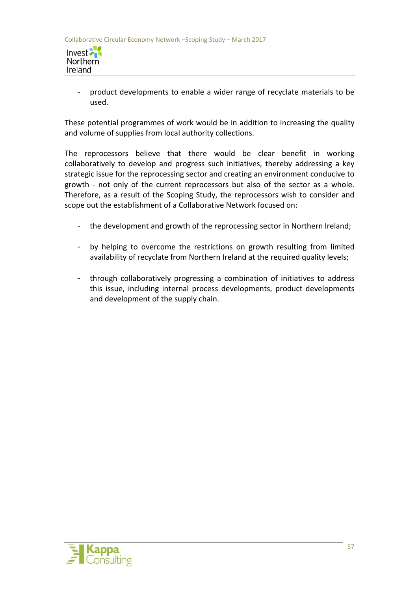

product developments to enable a wider range of recyclate materials to be used.

These potential programmes of work would be in addition to increasing the quality and volume of supplies from local authority collections.

The reprocessors believe that there would be clear benefit in working collaboratively to develop and progress such initiatives, thereby addressing a key strategic issue for the reprocessing sector and creating an environment conducive to growth - not only of the current reprocessors but also of the sector as a whole. Therefore, as a result of the Scoping Study, the reprocessors wish to consider and scope out the establishment of a Collaborative Network focused on:

- the development and growth of the reprocessing sector in Northern Ireland;
- by helping to overcome the restrictions on growth resulting from limited availability of recyclate from Northern Ireland at the required quality levels;
- through collaboratively progressing a combination of initiatives to address this issue, including internal process developments, product developments and development of the supply chain.

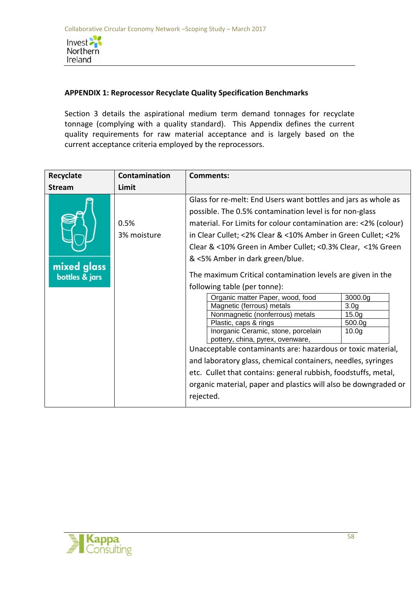

### **APPENDIX 1: Reprocessor Recyclate Quality Specification Benchmarks**

Section 3 details the aspirational medium term demand tonnages for recyclate tonnage (complying with a quality standard). This Appendix defines the current quality requirements for raw material acceptance and is largely based on the current acceptance criteria employed by the reprocessors.

| Recyclate                     | Contamination       | <b>Comments:</b>                                                                                                                                                                                                                                                                                                                                                                                                                                                                                                                                                                                                                                                                                                                                                                                                                                                                                                                                                                                                                                    |
|-------------------------------|---------------------|-----------------------------------------------------------------------------------------------------------------------------------------------------------------------------------------------------------------------------------------------------------------------------------------------------------------------------------------------------------------------------------------------------------------------------------------------------------------------------------------------------------------------------------------------------------------------------------------------------------------------------------------------------------------------------------------------------------------------------------------------------------------------------------------------------------------------------------------------------------------------------------------------------------------------------------------------------------------------------------------------------------------------------------------------------|
| <b>Stream</b>                 | Limit               |                                                                                                                                                                                                                                                                                                                                                                                                                                                                                                                                                                                                                                                                                                                                                                                                                                                                                                                                                                                                                                                     |
| mixed glass<br>bottles & jars | 0.5%<br>3% moisture | Glass for re-melt: End Users want bottles and jars as whole as<br>possible. The 0.5% contamination level is for non-glass<br>material. For Limits for colour contamination are: <2% (colour)<br>in Clear Cullet; <2% Clear & <10% Amber in Green Cullet; <2%<br>Clear & <10% Green in Amber Cullet; <0.3% Clear, <1% Green<br>& <5% Amber in dark green/blue.<br>The maximum Critical contamination levels are given in the<br>following table (per tonne):<br>Organic matter Paper, wood, food<br>3000.0 <sub>g</sub><br>Magnetic (ferrous) metals<br>3.0 <sub>g</sub><br>Nonmagnetic (nonferrous) metals<br>15.0 <sub>g</sub><br>500.0g<br>Plastic, caps & rings<br>Inorganic Ceramic, stone, porcelain<br>10.0 <sub>g</sub><br>pottery, china, pyrex, ovenware,<br>Unacceptable contaminants are: hazardous or toxic material,<br>and laboratory glass, chemical containers, needles, syringes<br>etc. Cullet that contains: general rubbish, foodstuffs, metal,<br>organic material, paper and plastics will also be downgraded or<br>rejected. |

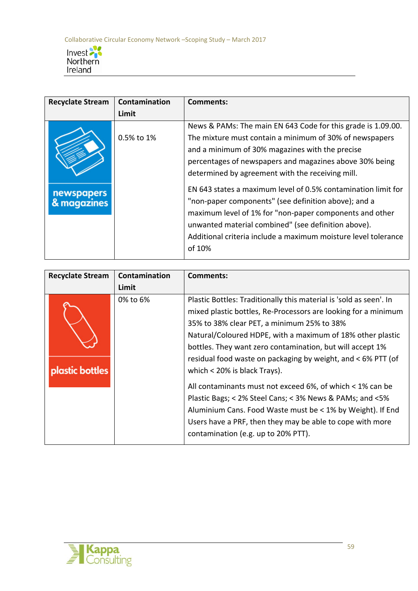

| <b>Recyclate Stream</b>          | Contamination | <b>Comments:</b>                                                                                                                                                                                                                                                                                                    |
|----------------------------------|---------------|---------------------------------------------------------------------------------------------------------------------------------------------------------------------------------------------------------------------------------------------------------------------------------------------------------------------|
|                                  | Limit         |                                                                                                                                                                                                                                                                                                                     |
|                                  | 0.5% to 1%    | News & PAMs: The main EN 643 Code for this grade is 1.09.00.<br>The mixture must contain a minimum of 30% of newspapers<br>and a minimum of 30% magazines with the precise<br>percentages of newspapers and magazines above 30% being<br>determined by agreement with the receiving mill.                           |
| <b>newspapers</b><br>& magazines |               | EN 643 states a maximum level of 0.5% contamination limit for<br>"non-paper components" (see definition above); and a<br>maximum level of 1% for "non-paper components and other<br>unwanted material combined" (see definition above).<br>Additional criteria include a maximum moisture level tolerance<br>of 10% |

| <b>Recyclate Stream</b> | Contamination | Comments:                                                                                                                                                                                                                                                                                                                                                                                                                                                                                                                                                                                                                                                                                                  |
|-------------------------|---------------|------------------------------------------------------------------------------------------------------------------------------------------------------------------------------------------------------------------------------------------------------------------------------------------------------------------------------------------------------------------------------------------------------------------------------------------------------------------------------------------------------------------------------------------------------------------------------------------------------------------------------------------------------------------------------------------------------------|
|                         | Limit         |                                                                                                                                                                                                                                                                                                                                                                                                                                                                                                                                                                                                                                                                                                            |
| <b>plastic bottles</b>  | 0% to 6%      | Plastic Bottles: Traditionally this material is 'sold as seen'. In<br>mixed plastic bottles, Re-Processors are looking for a minimum<br>35% to 38% clear PET, a minimum 25% to 38%<br>Natural/Coloured HDPE, with a maximum of 18% other plastic<br>bottles. They want zero contamination, but will accept 1%<br>residual food waste on packaging by weight, and < 6% PTT (of<br>which $<$ 20% is black Trays).<br>All contaminants must not exceed 6%, of which < 1% can be<br>Plastic Bags; < 2% Steel Cans; < 3% News & PAMs; and <5%<br>Aluminium Cans. Food Waste must be < 1% by Weight). If End<br>Users have a PRF, then they may be able to cope with more<br>contamination (e.g. up to 20% PTT). |

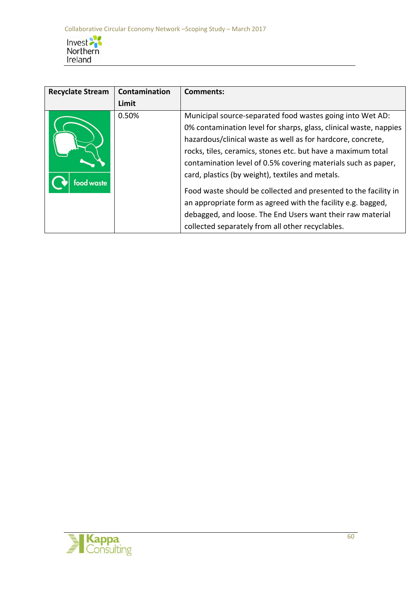

| <b>Recyclate Stream</b> | Contamination | <b>Comments:</b>                                                                                                                                                                                                                                                                                                                                                                                                                                                                                                                                                                                                                        |
|-------------------------|---------------|-----------------------------------------------------------------------------------------------------------------------------------------------------------------------------------------------------------------------------------------------------------------------------------------------------------------------------------------------------------------------------------------------------------------------------------------------------------------------------------------------------------------------------------------------------------------------------------------------------------------------------------------|
|                         | Limit         |                                                                                                                                                                                                                                                                                                                                                                                                                                                                                                                                                                                                                                         |
| ood waste               | 0.50%         | Municipal source-separated food wastes going into Wet AD:<br>0% contamination level for sharps, glass, clinical waste, nappies<br>hazardous/clinical waste as well as for hardcore, concrete,<br>rocks, tiles, ceramics, stones etc. but have a maximum total<br>contamination level of 0.5% covering materials such as paper,<br>card, plastics (by weight), textiles and metals.<br>Food waste should be collected and presented to the facility in<br>an appropriate form as agreed with the facility e.g. bagged,<br>debagged, and loose. The End Users want their raw material<br>collected separately from all other recyclables. |